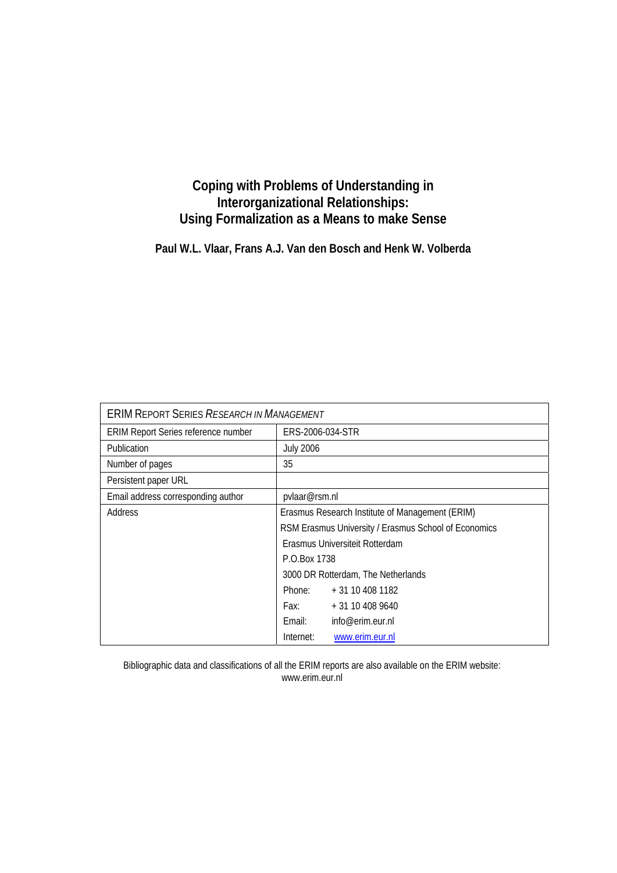# **Coping with Problems of Understanding in Interorganizational Relationships: Using Formalization as a Means to make Sense**

**Paul W.L. Vlaar, Frans A.J. Van den Bosch and Henk W. Volberda** 

| <b>ERIM REPORT SERIES RESEARCH IN MANAGEMENT</b> |                                                      |                  |  |
|--------------------------------------------------|------------------------------------------------------|------------------|--|
| ERIM Report Series reference number              | ERS-2006-034-STR                                     |                  |  |
| <b>Publication</b>                               | <b>July 2006</b>                                     |                  |  |
| Number of pages                                  | 35                                                   |                  |  |
| Persistent paper URL                             |                                                      |                  |  |
| Email address corresponding author               | pvlaar@rsm.nl                                        |                  |  |
| Address                                          | Erasmus Research Institute of Management (ERIM)      |                  |  |
|                                                  | RSM Erasmus University / Erasmus School of Economics |                  |  |
|                                                  | Erasmus Universiteit Rotterdam                       |                  |  |
|                                                  | P.O.Box 1738                                         |                  |  |
|                                                  | 3000 DR Rotterdam, The Netherlands                   |                  |  |
|                                                  | Phone:                                               | + 31 10 408 1182 |  |
|                                                  | Fax:                                                 | + 31 10 408 9640 |  |
|                                                  | Fmail:                                               | info@erim.eur.nl |  |
|                                                  | Internet:                                            | www.erim.eur.nl  |  |

Bibliographic data and classifications of all the ERIM reports are also available on the ERIM website: www.erim.eur.nl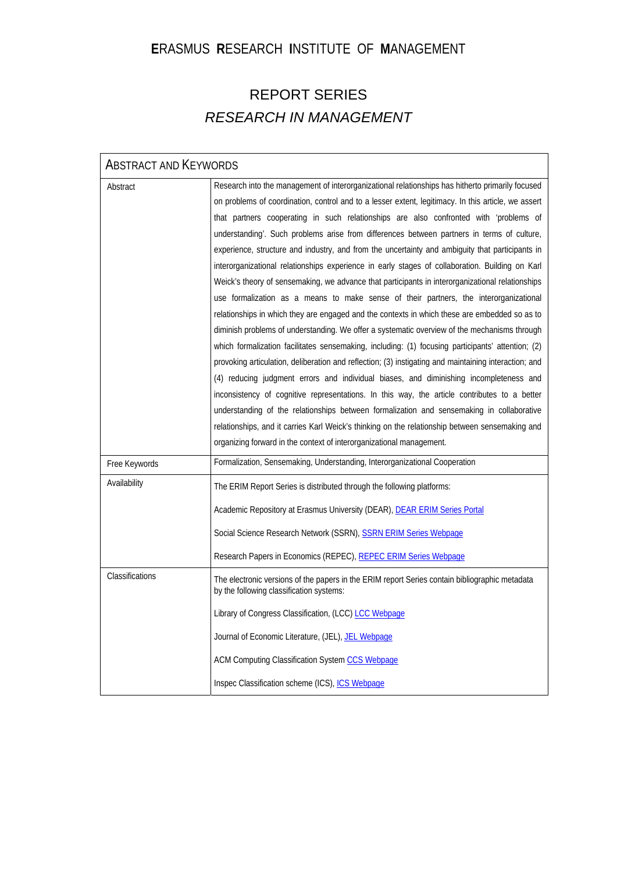# **E**RASMUS **R**ESEARCH **I**NSTITUTE OF **M**ANAGEMENT

# REPORT SERIES *RESEARCH IN MANAGEMENT*

| <b>ABSTRACT AND KEYWORDS</b>  |                                                                                                                                                                                                                                                                                                                                                                                                                                                                                                                                                                                                                                                                                                                                                                                                                                                                                                                                                                                                                                                                                                                                                                                                                                                                                                                                                                                                                                                                                                                                                                                                                                                                                    |
|-------------------------------|------------------------------------------------------------------------------------------------------------------------------------------------------------------------------------------------------------------------------------------------------------------------------------------------------------------------------------------------------------------------------------------------------------------------------------------------------------------------------------------------------------------------------------------------------------------------------------------------------------------------------------------------------------------------------------------------------------------------------------------------------------------------------------------------------------------------------------------------------------------------------------------------------------------------------------------------------------------------------------------------------------------------------------------------------------------------------------------------------------------------------------------------------------------------------------------------------------------------------------------------------------------------------------------------------------------------------------------------------------------------------------------------------------------------------------------------------------------------------------------------------------------------------------------------------------------------------------------------------------------------------------------------------------------------------------|
| Abstract                      | Research into the management of interorganizational relationships has hitherto primarily focused<br>on problems of coordination, control and to a lesser extent, legitimacy. In this article, we assert<br>that partners cooperating in such relationships are also confronted with 'problems of<br>understanding'. Such problems arise from differences between partners in terms of culture,<br>experience, structure and industry, and from the uncertainty and ambiguity that participants in<br>interorganizational relationships experience in early stages of collaboration. Building on Karl<br>Weick's theory of sensemaking, we advance that participants in interorganizational relationships<br>use formalization as a means to make sense of their partners, the interorganizational<br>relationships in which they are engaged and the contexts in which these are embedded so as to<br>diminish problems of understanding. We offer a systematic overview of the mechanisms through<br>which formalization facilitates sensemaking, including: (1) focusing participants' attention; (2)<br>provoking articulation, deliberation and reflection; (3) instigating and maintaining interaction; and<br>(4) reducing judgment errors and individual biases, and diminishing incompleteness and<br>inconsistency of cognitive representations. In this way, the article contributes to a better<br>understanding of the relationships between formalization and sensemaking in collaborative<br>relationships, and it carries Karl Weick's thinking on the relationship between sensemaking and<br>organizing forward in the context of interorganizational management. |
| Free Keywords<br>Availability | Formalization, Sensemaking, Understanding, Interorganizational Cooperation<br>The ERIM Report Series is distributed through the following platforms:<br>Academic Repository at Erasmus University (DEAR), DEAR ERIM Series Portal<br>Social Science Research Network (SSRN), SSRN ERIM Series Webpage<br>Research Papers in Economics (REPEC), REPEC ERIM Series Webpage                                                                                                                                                                                                                                                                                                                                                                                                                                                                                                                                                                                                                                                                                                                                                                                                                                                                                                                                                                                                                                                                                                                                                                                                                                                                                                           |
| Classifications               | The electronic versions of the papers in the ERIM report Series contain bibliographic metadata<br>by the following classification systems:<br>Library of Congress Classification, (LCC) LCC Webpage<br>Journal of Economic Literature, (JEL), JEL Webpage<br>ACM Computing Classification System CCS Webpage<br>Inspec Classification scheme (ICS), ICS Webpage                                                                                                                                                                                                                                                                                                                                                                                                                                                                                                                                                                                                                                                                                                                                                                                                                                                                                                                                                                                                                                                                                                                                                                                                                                                                                                                    |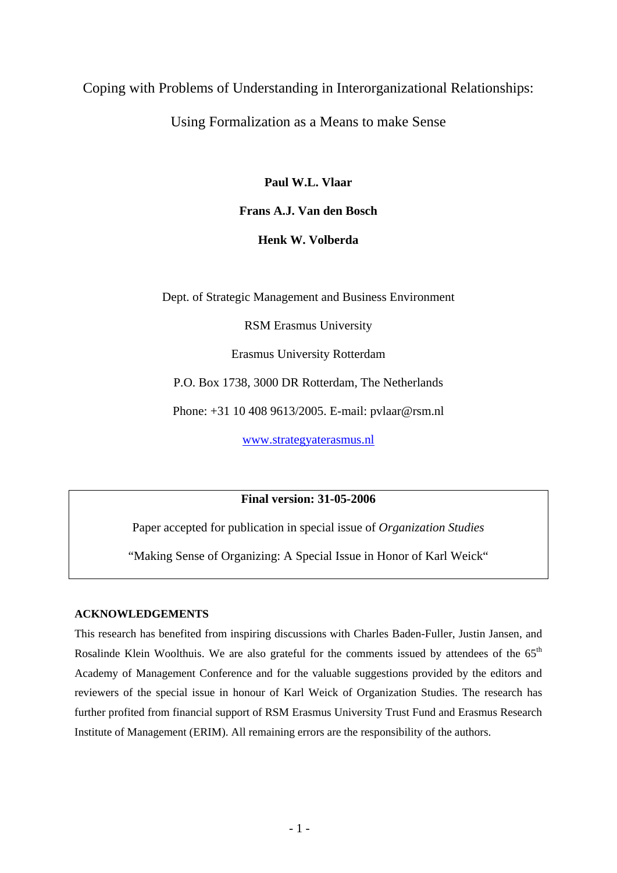## Coping with Problems of Understanding in Interorganizational Relationships:

## Using Formalization as a Means to make Sense

**Paul W.L. Vlaar** 

**Frans A.J. Van den Bosch** 

**Henk W. Volberda** 

Dept. of Strategic Management and Business Environment

RSM Erasmus University

Erasmus University Rotterdam

P.O. Box 1738, 3000 DR Rotterdam, The Netherlands

Phone: +31 10 408 9613/2005. E-mail: pvlaar@rsm.nl

[www.strategyaterasmus.nl](http://www.strategyaterasmus.nl/)

**Final version: 31-05-2006** 

Paper accepted for publication in special issue of *Organization Studies* 

"Making Sense of Organizing: A Special Issue in Honor of Karl Weick"

#### **ACKNOWLEDGEMENTS**

This research has benefited from inspiring discussions with Charles Baden-Fuller, Justin Jansen, and Rosalinde Klein Woolthuis. We are also grateful for the comments issued by attendees of the 65<sup>th</sup> Academy of Management Conference and for the valuable suggestions provided by the editors and reviewers of the special issue in honour of Karl Weick of Organization Studies. The research has further profited from financial support of RSM Erasmus University Trust Fund and Erasmus Research Institute of Management (ERIM). All remaining errors are the responsibility of the authors.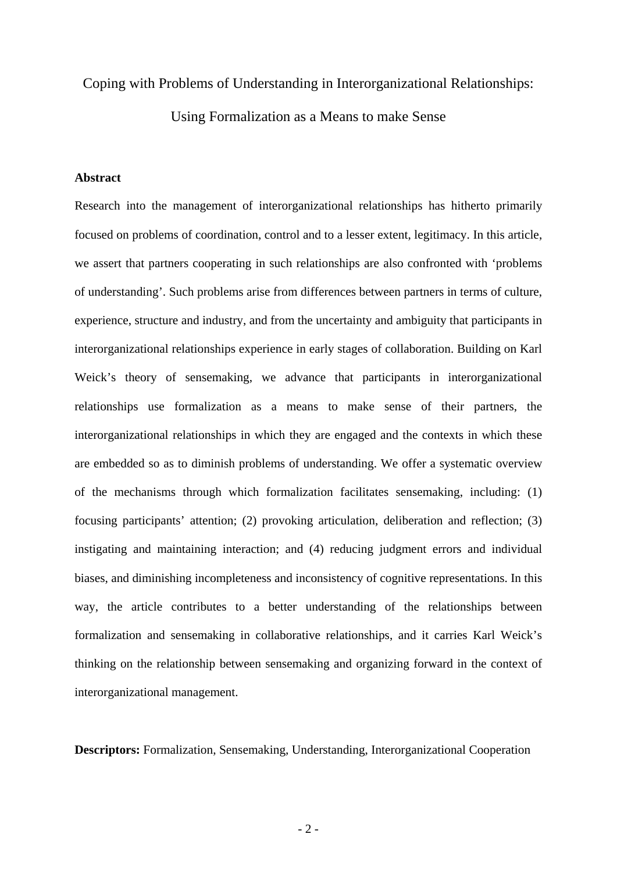#### Coping with Problems of Understanding in Interorganizational Relationships:

Using Formalization as a Means to make Sense

#### **Abstract**

Research into the management of interorganizational relationships has hitherto primarily focused on problems of coordination, control and to a lesser extent, legitimacy. In this article, we assert that partners cooperating in such relationships are also confronted with 'problems of understanding'. Such problems arise from differences between partners in terms of culture, experience, structure and industry, and from the uncertainty and ambiguity that participants in interorganizational relationships experience in early stages of collaboration. Building on Karl Weick's theory of sensemaking, we advance that participants in interorganizational relationships use formalization as a means to make sense of their partners, the interorganizational relationships in which they are engaged and the contexts in which these are embedded so as to diminish problems of understanding. We offer a systematic overview of the mechanisms through which formalization facilitates sensemaking, including: (1) focusing participants' attention; (2) provoking articulation, deliberation and reflection; (3) instigating and maintaining interaction; and (4) reducing judgment errors and individual biases, and diminishing incompleteness and inconsistency of cognitive representations. In this way, the article contributes to a better understanding of the relationships between formalization and sensemaking in collaborative relationships, and it carries Karl Weick's thinking on the relationship between sensemaking and organizing forward in the context of interorganizational management.

**Descriptors:** Formalization, Sensemaking, Understanding, Interorganizational Cooperation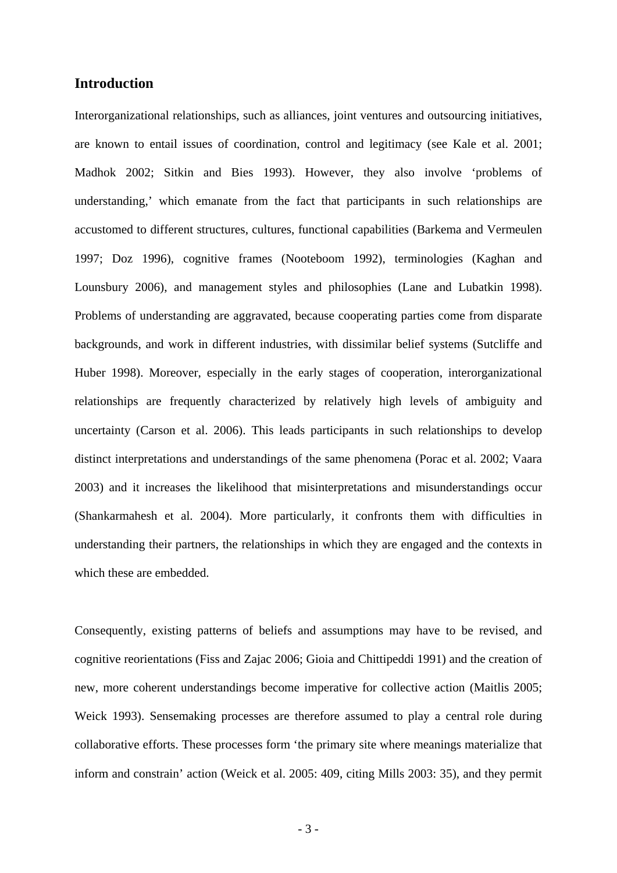#### **Introduction**

Interorganizational relationships, such as alliances, joint ventures and outsourcing initiatives, are known to entail issues of coordination, control and legitimacy (see Kale et al. 2001; Madhok 2002; Sitkin and Bies 1993). However, they also involve 'problems of understanding,' which emanate from the fact that participants in such relationships are accustomed to different structures, cultures, functional capabilities (Barkema and Vermeulen 1997; Doz 1996), cognitive frames (Nooteboom 1992), terminologies (Kaghan and Lounsbury 2006), and management styles and philosophies (Lane and Lubatkin 1998). Problems of understanding are aggravated, because cooperating parties come from disparate backgrounds, and work in different industries, with dissimilar belief systems (Sutcliffe and Huber 1998). Moreover, especially in the early stages of cooperation, interorganizational relationships are frequently characterized by relatively high levels of ambiguity and uncertainty (Carson et al. 2006). This leads participants in such relationships to develop distinct interpretations and understandings of the same phenomena (Porac et al. 2002; Vaara 2003) and it increases the likelihood that misinterpretations and misunderstandings occur (Shankarmahesh et al. 2004). More particularly, it confronts them with difficulties in understanding their partners, the relationships in which they are engaged and the contexts in which these are embedded.

Consequently, existing patterns of beliefs and assumptions may have to be revised, and cognitive reorientations (Fiss and Zajac 2006; Gioia and Chittipeddi 1991) and the creation of new, more coherent understandings become imperative for collective action (Maitlis 2005; Weick 1993). Sensemaking processes are therefore assumed to play a central role during collaborative efforts. These processes form 'the primary site where meanings materialize that inform and constrain' action (Weick et al. 2005: 409, citing Mills 2003: 35), and they permit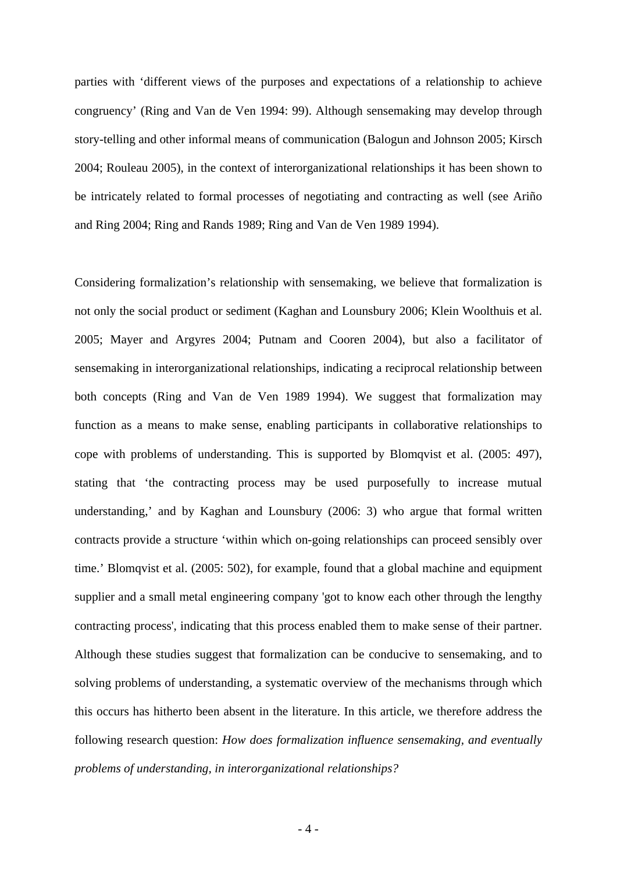parties with 'different views of the purposes and expectations of a relationship to achieve congruency' (Ring and Van de Ven 1994: 99). Although sensemaking may develop through story-telling and other informal means of communication (Balogun and Johnson 2005; Kirsch 2004; Rouleau 2005), in the context of interorganizational relationships it has been shown to be intricately related to formal processes of negotiating and contracting as well (see Ariño and Ring 2004; Ring and Rands 1989; Ring and Van de Ven 1989 1994).

Considering formalization's relationship with sensemaking, we believe that formalization is not only the social product or sediment (Kaghan and Lounsbury 2006; Klein Woolthuis et al. 2005; Mayer and Argyres 2004; Putnam and Cooren 2004), but also a facilitator of sensemaking in interorganizational relationships, indicating a reciprocal relationship between both concepts (Ring and Van de Ven 1989 1994). We suggest that formalization may function as a means to make sense, enabling participants in collaborative relationships to cope with problems of understanding. This is supported by Blomqvist et al. (2005: 497), stating that 'the contracting process may be used purposefully to increase mutual understanding,' and by Kaghan and Lounsbury (2006: 3) who argue that formal written contracts provide a structure 'within which on-going relationships can proceed sensibly over time.' Blomqvist et al. (2005: 502), for example, found that a global machine and equipment supplier and a small metal engineering company 'got to know each other through the lengthy contracting process', indicating that this process enabled them to make sense of their partner. Although these studies suggest that formalization can be conducive to sensemaking, and to solving problems of understanding, a systematic overview of the mechanisms through which this occurs has hitherto been absent in the literature. In this article, we therefore address the following research question: *How does formalization influence sensemaking, and eventually problems of understanding, in interorganizational relationships?*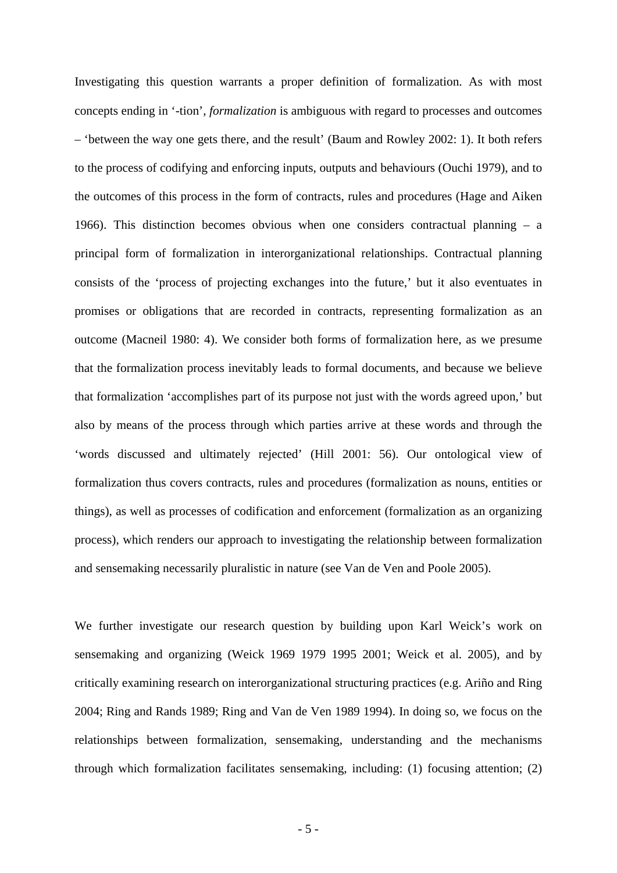Investigating this question warrants a proper definition of formalization. As with most concepts ending in '-tion', *formalization* is ambiguous with regard to processes and outcomes – 'between the way one gets there, and the result' (Baum and Rowley 2002: 1). It both refers to the process of codifying and enforcing inputs, outputs and behaviours (Ouchi 1979), and to the outcomes of this process in the form of contracts, rules and procedures (Hage and Aiken 1966). This distinction becomes obvious when one considers contractual planning – a principal form of formalization in interorganizational relationships. Contractual planning consists of the 'process of projecting exchanges into the future,' but it also eventuates in promises or obligations that are recorded in contracts, representing formalization as an outcome (Macneil 1980: 4). We consider both forms of formalization here, as we presume that the formalization process inevitably leads to formal documents, and because we believe that formalization 'accomplishes part of its purpose not just with the words agreed upon,' but also by means of the process through which parties arrive at these words and through the 'words discussed and ultimately rejected' (Hill 2001: 56). Our ontological view of formalization thus covers contracts, rules and procedures (formalization as nouns, entities or things), as well as processes of codification and enforcement (formalization as an organizing process), which renders our approach to investigating the relationship between formalization and sensemaking necessarily pluralistic in nature (see Van de Ven and Poole 2005).

We further investigate our research question by building upon Karl Weick's work on sensemaking and organizing (Weick 1969 1979 1995 2001; Weick et al. 2005), and by critically examining research on interorganizational structuring practices (e.g. Ariño and Ring 2004; Ring and Rands 1989; Ring and Van de Ven 1989 1994). In doing so, we focus on the relationships between formalization, sensemaking, understanding and the mechanisms through which formalization facilitates sensemaking, including: (1) focusing attention; (2)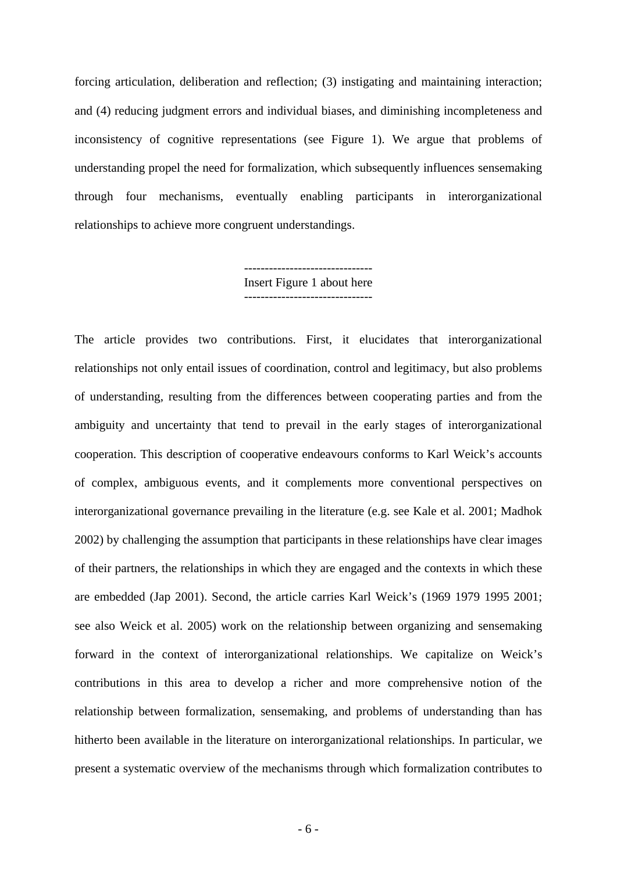forcing articulation, deliberation and reflection; (3) instigating and maintaining interaction; and (4) reducing judgment errors and individual biases, and diminishing incompleteness and inconsistency of cognitive representations (see Figure 1). We argue that problems of understanding propel the need for formalization, which subsequently influences sensemaking through four mechanisms, eventually enabling participants in interorganizational relationships to achieve more congruent understandings.

> Insert Figure 1 about here -------------------------------

The article provides two contributions. First, it elucidates that interorganizational relationships not only entail issues of coordination, control and legitimacy, but also problems of understanding, resulting from the differences between cooperating parties and from the ambiguity and uncertainty that tend to prevail in the early stages of interorganizational cooperation. This description of cooperative endeavours conforms to Karl Weick's accounts of complex, ambiguous events, and it complements more conventional perspectives on interorganizational governance prevailing in the literature (e.g. see Kale et al. 2001; Madhok 2002) by challenging the assumption that participants in these relationships have clear images of their partners, the relationships in which they are engaged and the contexts in which these are embedded (Jap 2001). Second, the article carries Karl Weick's (1969 1979 1995 2001; see also Weick et al. 2005) work on the relationship between organizing and sensemaking forward in the context of interorganizational relationships. We capitalize on Weick's contributions in this area to develop a richer and more comprehensive notion of the relationship between formalization, sensemaking, and problems of understanding than has hitherto been available in the literature on interorganizational relationships. In particular, we present a systematic overview of the mechanisms through which formalization contributes to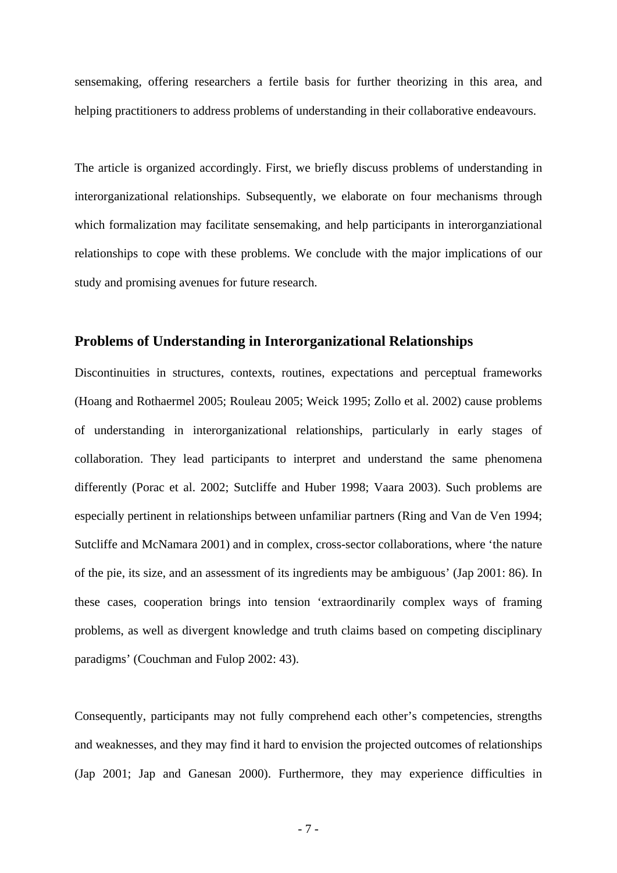sensemaking, offering researchers a fertile basis for further theorizing in this area, and helping practitioners to address problems of understanding in their collaborative endeavours.

The article is organized accordingly. First, we briefly discuss problems of understanding in interorganizational relationships. Subsequently, we elaborate on four mechanisms through which formalization may facilitate sensemaking, and help participants in interorganziational relationships to cope with these problems. We conclude with the major implications of our study and promising avenues for future research.

#### **Problems of Understanding in Interorganizational Relationships**

Discontinuities in structures, contexts, routines, expectations and perceptual frameworks (Hoang and Rothaermel 2005; Rouleau 2005; Weick 1995; Zollo et al. 2002) cause problems of understanding in interorganizational relationships, particularly in early stages of collaboration. They lead participants to interpret and understand the same phenomena differently (Porac et al. 2002; Sutcliffe and Huber 1998; Vaara 2003). Such problems are especially pertinent in relationships between unfamiliar partners (Ring and Van de Ven 1994; Sutcliffe and McNamara 2001) and in complex, cross-sector collaborations, where 'the nature of the pie, its size, and an assessment of its ingredients may be ambiguous' (Jap 2001: 86). In these cases, cooperation brings into tension 'extraordinarily complex ways of framing problems, as well as divergent knowledge and truth claims based on competing disciplinary paradigms' (Couchman and Fulop 2002: 43).

Consequently, participants may not fully comprehend each other's competencies, strengths and weaknesses, and they may find it hard to envision the projected outcomes of relationships (Jap 2001; Jap and Ganesan 2000). Furthermore, they may experience difficulties in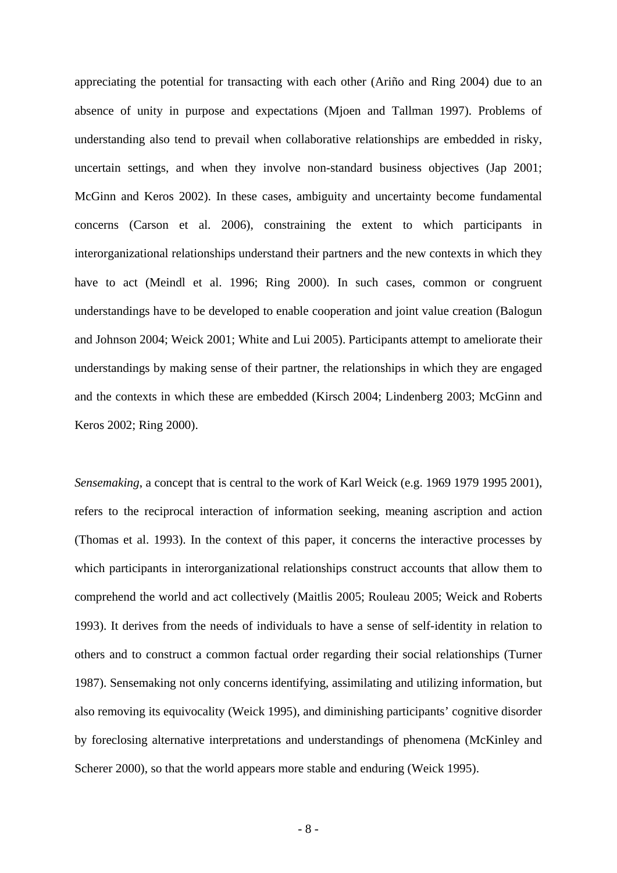appreciating the potential for transacting with each other (Ariño and Ring 2004) due to an absence of unity in purpose and expectations (Mjoen and Tallman 1997). Problems of understanding also tend to prevail when collaborative relationships are embedded in risky, uncertain settings, and when they involve non-standard business objectives (Jap 2001; McGinn and Keros 2002). In these cases, ambiguity and uncertainty become fundamental concerns (Carson et al. 2006), constraining the extent to which participants in interorganizational relationships understand their partners and the new contexts in which they have to act (Meindl et al. 1996; Ring 2000). In such cases, common or congruent understandings have to be developed to enable cooperation and joint value creation (Balogun and Johnson 2004; Weick 2001; White and Lui 2005). Participants attempt to ameliorate their understandings by making sense of their partner, the relationships in which they are engaged and the contexts in which these are embedded (Kirsch 2004; Lindenberg 2003; McGinn and Keros 2002; Ring 2000).

*Sensemaking*, a concept that is central to the work of Karl Weick (e.g. 1969 1979 1995 2001), refers to the reciprocal interaction of information seeking, meaning ascription and action (Thomas et al. 1993). In the context of this paper, it concerns the interactive processes by which participants in interorganizational relationships construct accounts that allow them to comprehend the world and act collectively (Maitlis 2005; Rouleau 2005; Weick and Roberts 1993). It derives from the needs of individuals to have a sense of self-identity in relation to others and to construct a common factual order regarding their social relationships (Turner 1987). Sensemaking not only concerns identifying, assimilating and utilizing information, but also removing its equivocality (Weick 1995), and diminishing participants' cognitive disorder by foreclosing alternative interpretations and understandings of phenomena (McKinley and Scherer 2000), so that the world appears more stable and enduring (Weick 1995).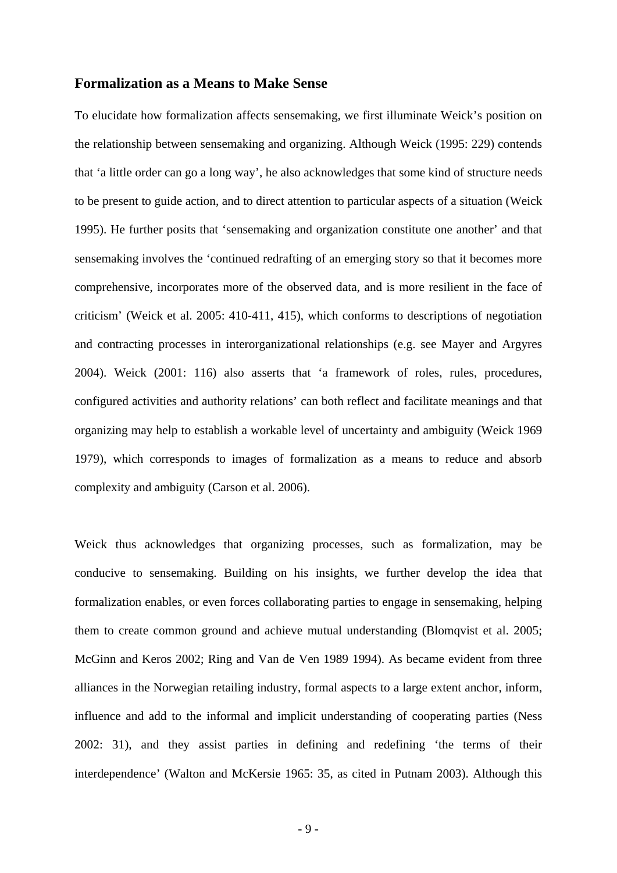#### **Formalization as a Means to Make Sense**

To elucidate how formalization affects sensemaking, we first illuminate Weick's position on the relationship between sensemaking and organizing. Although Weick (1995: 229) contends that 'a little order can go a long way', he also acknowledges that some kind of structure needs to be present to guide action, and to direct attention to particular aspects of a situation (Weick 1995). He further posits that 'sensemaking and organization constitute one another' and that sensemaking involves the 'continued redrafting of an emerging story so that it becomes more comprehensive, incorporates more of the observed data, and is more resilient in the face of criticism' (Weick et al. 2005: 410-411, 415), which conforms to descriptions of negotiation and contracting processes in interorganizational relationships (e.g. see Mayer and Argyres 2004). Weick (2001: 116) also asserts that 'a framework of roles, rules, procedures, configured activities and authority relations' can both reflect and facilitate meanings and that organizing may help to establish a workable level of uncertainty and ambiguity (Weick 1969 1979), which corresponds to images of formalization as a means to reduce and absorb complexity and ambiguity (Carson et al. 2006).

Weick thus acknowledges that organizing processes, such as formalization, may be conducive to sensemaking. Building on his insights, we further develop the idea that formalization enables, or even forces collaborating parties to engage in sensemaking, helping them to create common ground and achieve mutual understanding (Blomqvist et al. 2005; McGinn and Keros 2002; Ring and Van de Ven 1989 1994). As became evident from three alliances in the Norwegian retailing industry, formal aspects to a large extent anchor, inform, influence and add to the informal and implicit understanding of cooperating parties (Ness 2002: 31), and they assist parties in defining and redefining 'the terms of their interdependence' (Walton and McKersie 1965: 35, as cited in Putnam 2003). Although this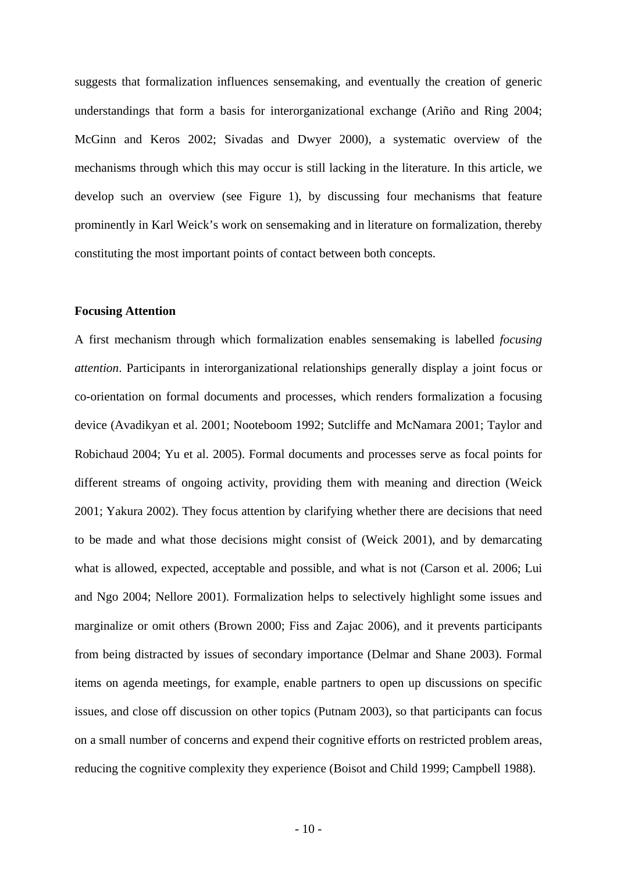suggests that formalization influences sensemaking, and eventually the creation of generic understandings that form a basis for interorganizational exchange (Ariño and Ring 2004; McGinn and Keros 2002; Sivadas and Dwyer 2000), a systematic overview of the mechanisms through which this may occur is still lacking in the literature. In this article, we develop such an overview (see Figure 1), by discussing four mechanisms that feature prominently in Karl Weick's work on sensemaking and in literature on formalization, thereby constituting the most important points of contact between both concepts.

#### **Focusing Attention**

A first mechanism through which formalization enables sensemaking is labelled *focusing attention*. Participants in interorganizational relationships generally display a joint focus or co-orientation on formal documents and processes, which renders formalization a focusing device (Avadikyan et al. 2001; Nooteboom 1992; Sutcliffe and McNamara 2001; Taylor and Robichaud 2004; Yu et al. 2005). Formal documents and processes serve as focal points for different streams of ongoing activity, providing them with meaning and direction (Weick 2001; Yakura 2002). They focus attention by clarifying whether there are decisions that need to be made and what those decisions might consist of (Weick 2001), and by demarcating what is allowed, expected, acceptable and possible, and what is not (Carson et al. 2006; Lui and Ngo 2004; Nellore 2001). Formalization helps to selectively highlight some issues and marginalize or omit others (Brown 2000; Fiss and Zajac 2006), and it prevents participants from being distracted by issues of secondary importance (Delmar and Shane 2003). Formal items on agenda meetings, for example, enable partners to open up discussions on specific issues, and close off discussion on other topics (Putnam 2003), so that participants can focus on a small number of concerns and expend their cognitive efforts on restricted problem areas, reducing the cognitive complexity they experience (Boisot and Child 1999; Campbell 1988).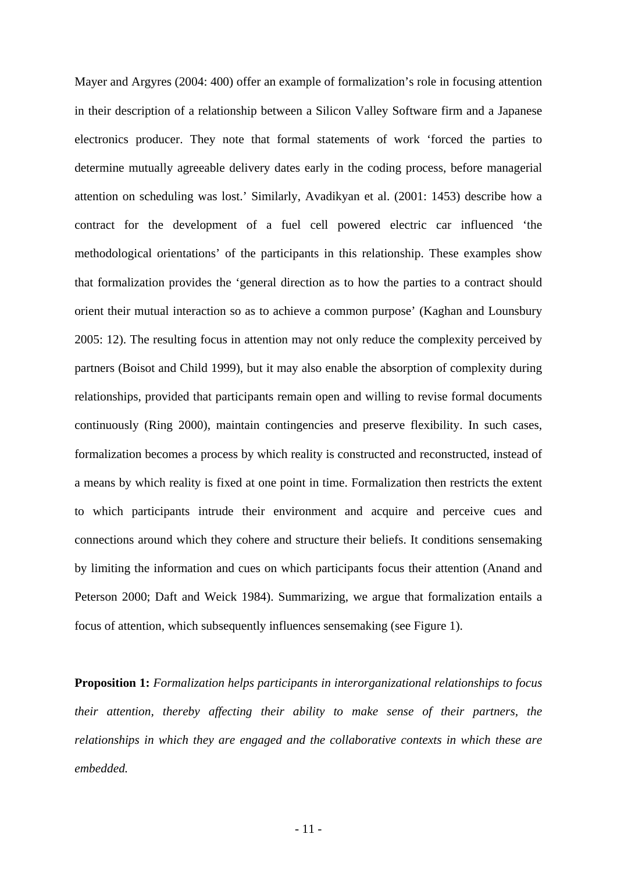Mayer and Argyres (2004: 400) offer an example of formalization's role in focusing attention in their description of a relationship between a Silicon Valley Software firm and a Japanese electronics producer. They note that formal statements of work 'forced the parties to determine mutually agreeable delivery dates early in the coding process, before managerial attention on scheduling was lost.' Similarly, Avadikyan et al. (2001: 1453) describe how a contract for the development of a fuel cell powered electric car influenced 'the methodological orientations' of the participants in this relationship. These examples show that formalization provides the 'general direction as to how the parties to a contract should orient their mutual interaction so as to achieve a common purpose' (Kaghan and Lounsbury 2005: 12). The resulting focus in attention may not only reduce the complexity perceived by partners (Boisot and Child 1999), but it may also enable the absorption of complexity during relationships, provided that participants remain open and willing to revise formal documents continuously (Ring 2000), maintain contingencies and preserve flexibility. In such cases, formalization becomes a process by which reality is constructed and reconstructed, instead of a means by which reality is fixed at one point in time. Formalization then restricts the extent to which participants intrude their environment and acquire and perceive cues and connections around which they cohere and structure their beliefs. It conditions sensemaking by limiting the information and cues on which participants focus their attention (Anand and Peterson 2000; Daft and Weick 1984). Summarizing, we argue that formalization entails a focus of attention, which subsequently influences sensemaking (see Figure 1).

**Proposition 1:** *Formalization helps participants in interorganizational relationships to focus their attention, thereby affecting their ability to make sense of their partners, the relationships in which they are engaged and the collaborative contexts in which these are embedded.*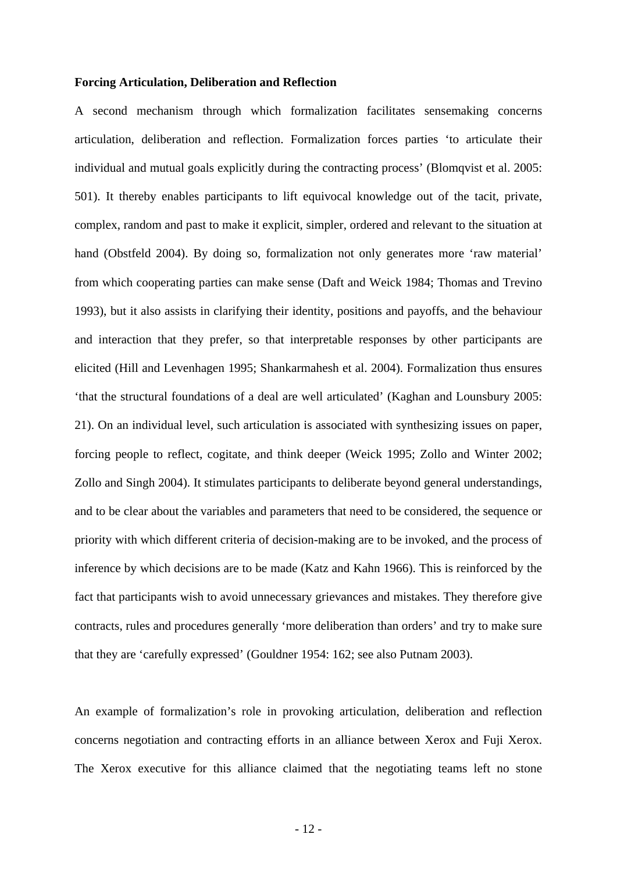#### **Forcing Articulation, Deliberation and Reflection**

A second mechanism through which formalization facilitates sensemaking concerns articulation, deliberation and reflection. Formalization forces parties 'to articulate their individual and mutual goals explicitly during the contracting process' (Blomqvist et al. 2005: 501). It thereby enables participants to lift equivocal knowledge out of the tacit, private, complex, random and past to make it explicit, simpler, ordered and relevant to the situation at hand (Obstfeld 2004). By doing so, formalization not only generates more 'raw material' from which cooperating parties can make sense (Daft and Weick 1984; Thomas and Trevino 1993), but it also assists in clarifying their identity, positions and payoffs, and the behaviour and interaction that they prefer, so that interpretable responses by other participants are elicited (Hill and Levenhagen 1995; Shankarmahesh et al. 2004). Formalization thus ensures 'that the structural foundations of a deal are well articulated' (Kaghan and Lounsbury 2005: 21). On an individual level, such articulation is associated with synthesizing issues on paper, forcing people to reflect, cogitate, and think deeper (Weick 1995; Zollo and Winter 2002; Zollo and Singh 2004). It stimulates participants to deliberate beyond general understandings, and to be clear about the variables and parameters that need to be considered, the sequence or priority with which different criteria of decision-making are to be invoked, and the process of inference by which decisions are to be made (Katz and Kahn 1966). This is reinforced by the fact that participants wish to avoid unnecessary grievances and mistakes. They therefore give contracts, rules and procedures generally 'more deliberation than orders' and try to make sure that they are 'carefully expressed' (Gouldner 1954: 162; see also Putnam 2003).

An example of formalization's role in provoking articulation, deliberation and reflection concerns negotiation and contracting efforts in an alliance between Xerox and Fuji Xerox. The Xerox executive for this alliance claimed that the negotiating teams left no stone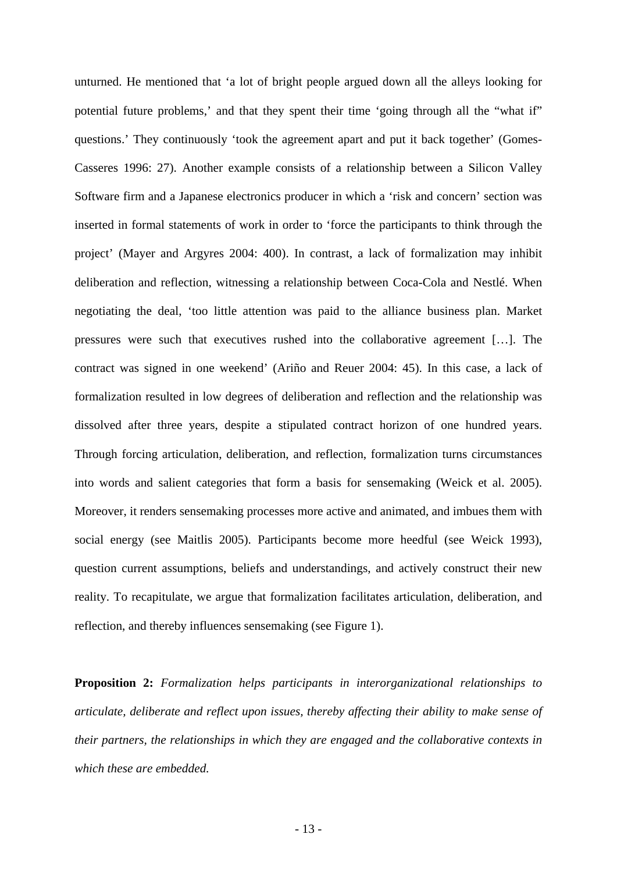unturned. He mentioned that 'a lot of bright people argued down all the alleys looking for potential future problems,' and that they spent their time 'going through all the "what if" questions.' They continuously 'took the agreement apart and put it back together' (Gomes-Casseres 1996: 27). Another example consists of a relationship between a Silicon Valley Software firm and a Japanese electronics producer in which a 'risk and concern' section was inserted in formal statements of work in order to 'force the participants to think through the project' (Mayer and Argyres 2004: 400). In contrast, a lack of formalization may inhibit deliberation and reflection, witnessing a relationship between Coca-Cola and Nestlé. When negotiating the deal, 'too little attention was paid to the alliance business plan. Market pressures were such that executives rushed into the collaborative agreement […]. The contract was signed in one weekend' (Ariño and Reuer 2004: 45). In this case, a lack of formalization resulted in low degrees of deliberation and reflection and the relationship was dissolved after three years, despite a stipulated contract horizon of one hundred years. Through forcing articulation, deliberation, and reflection, formalization turns circumstances into words and salient categories that form a basis for sensemaking (Weick et al. 2005). Moreover, it renders sensemaking processes more active and animated, and imbues them with social energy (see Maitlis 2005). Participants become more heedful (see Weick 1993), question current assumptions, beliefs and understandings, and actively construct their new reality. To recapitulate, we argue that formalization facilitates articulation, deliberation, and reflection, and thereby influences sensemaking (see Figure 1).

**Proposition 2:** *Formalization helps participants in interorganizational relationships to articulate, deliberate and reflect upon issues, thereby affecting their ability to make sense of their partners, the relationships in which they are engaged and the collaborative contexts in which these are embedded.*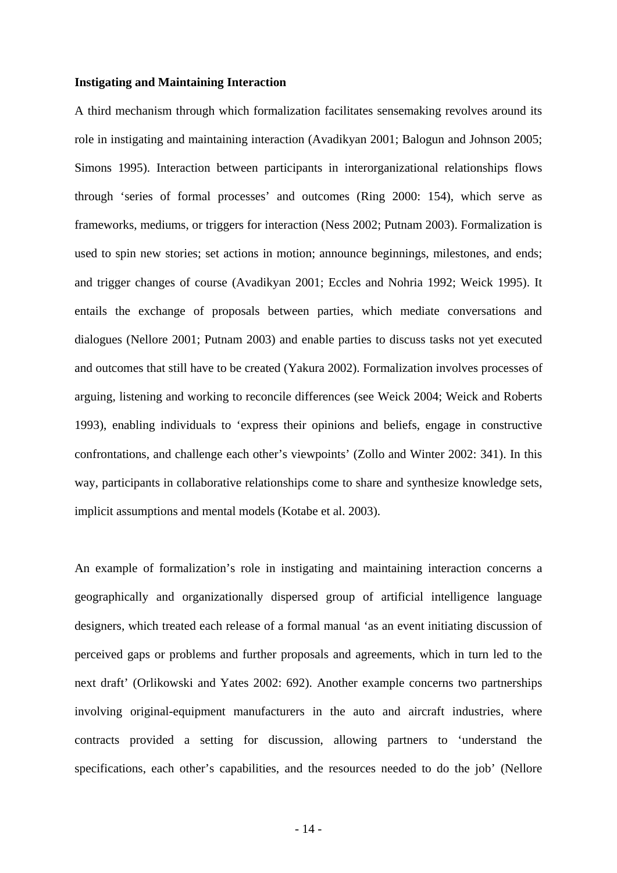#### **Instigating and Maintaining Interaction**

A third mechanism through which formalization facilitates sensemaking revolves around its role in instigating and maintaining interaction (Avadikyan 2001; Balogun and Johnson 2005; Simons 1995). Interaction between participants in interorganizational relationships flows through 'series of formal processes' and outcomes (Ring 2000: 154), which serve as frameworks, mediums, or triggers for interaction (Ness 2002; Putnam 2003). Formalization is used to spin new stories; set actions in motion; announce beginnings, milestones, and ends; and trigger changes of course (Avadikyan 2001; Eccles and Nohria 1992; Weick 1995). It entails the exchange of proposals between parties, which mediate conversations and dialogues (Nellore 2001; Putnam 2003) and enable parties to discuss tasks not yet executed and outcomes that still have to be created (Yakura 2002). Formalization involves processes of arguing, listening and working to reconcile differences (see Weick 2004; Weick and Roberts 1993), enabling individuals to 'express their opinions and beliefs, engage in constructive confrontations, and challenge each other's viewpoints' (Zollo and Winter 2002: 341). In this way, participants in collaborative relationships come to share and synthesize knowledge sets, implicit assumptions and mental models (Kotabe et al. 2003).

An example of formalization's role in instigating and maintaining interaction concerns a geographically and organizationally dispersed group of artificial intelligence language designers, which treated each release of a formal manual 'as an event initiating discussion of perceived gaps or problems and further proposals and agreements, which in turn led to the next draft' (Orlikowski and Yates 2002: 692). Another example concerns two partnerships involving original-equipment manufacturers in the auto and aircraft industries, where contracts provided a setting for discussion, allowing partners to 'understand the specifications, each other's capabilities, and the resources needed to do the job' (Nellore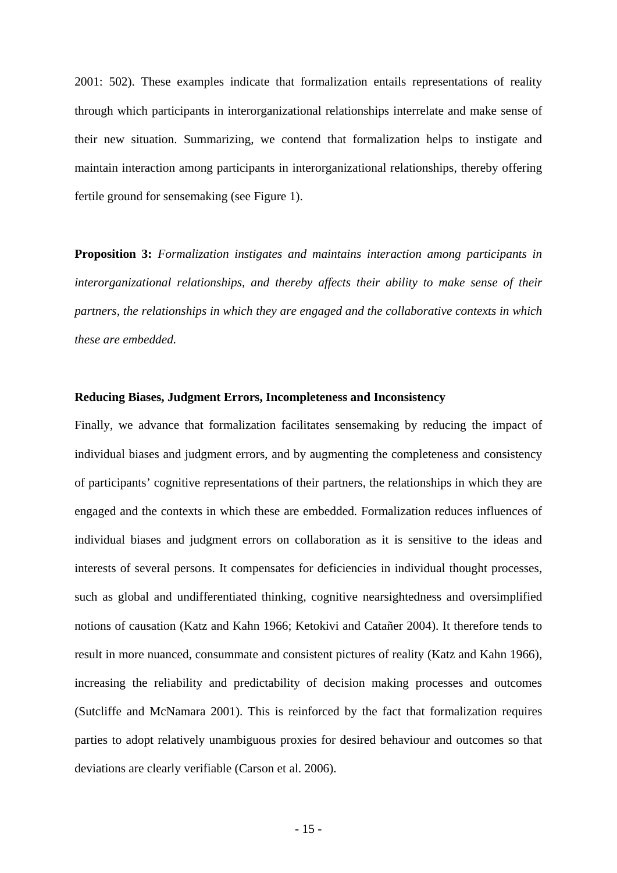2001: 502). These examples indicate that formalization entails representations of reality through which participants in interorganizational relationships interrelate and make sense of their new situation. Summarizing, we contend that formalization helps to instigate and maintain interaction among participants in interorganizational relationships, thereby offering fertile ground for sensemaking (see Figure 1).

**Proposition 3:** *Formalization instigates and maintains interaction among participants in interorganizational relationships, and thereby affects their ability to make sense of their partners, the relationships in which they are engaged and the collaborative contexts in which these are embedded.* 

#### **Reducing Biases, Judgment Errors, Incompleteness and Inconsistency**

Finally, we advance that formalization facilitates sensemaking by reducing the impact of individual biases and judgment errors, and by augmenting the completeness and consistency of participants' cognitive representations of their partners, the relationships in which they are engaged and the contexts in which these are embedded. Formalization reduces influences of individual biases and judgment errors on collaboration as it is sensitive to the ideas and interests of several persons. It compensates for deficiencies in individual thought processes, such as global and undifferentiated thinking, cognitive nearsightedness and oversimplified notions of causation (Katz and Kahn 1966; Ketokivi and Catañer 2004). It therefore tends to result in more nuanced, consummate and consistent pictures of reality (Katz and Kahn 1966), increasing the reliability and predictability of decision making processes and outcomes (Sutcliffe and McNamara 2001). This is reinforced by the fact that formalization requires parties to adopt relatively unambiguous proxies for desired behaviour and outcomes so that deviations are clearly verifiable (Carson et al. 2006).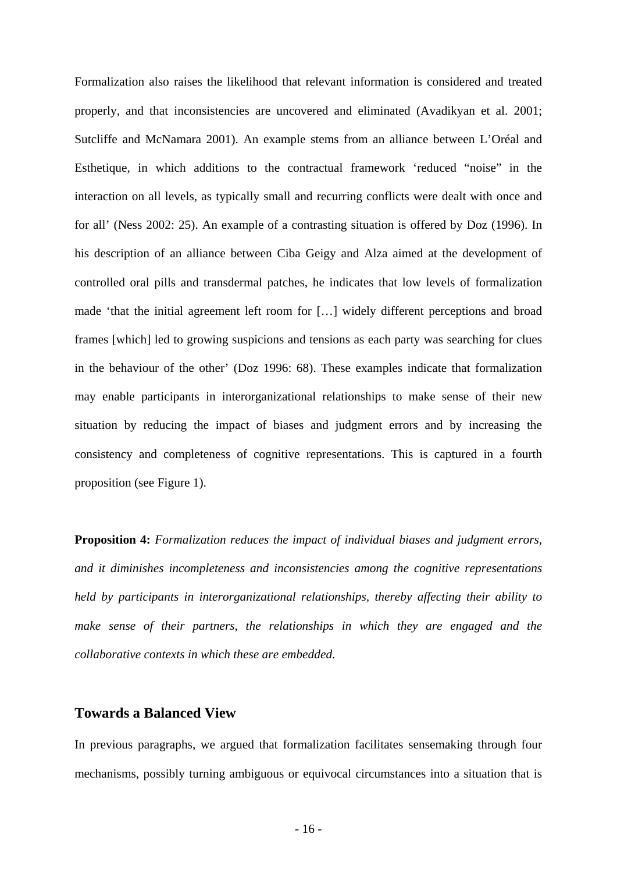Formalization also raises the likelihood that relevant information is considered and treated properly, and that inconsistencies are uncovered and eliminated (Avadikyan et al. 2001; Sutcliffe and McNamara 2001). An example stems from an alliance between L'Oréal and Esthetique, in which additions to the contractual framework 'reduced "noise" in the interaction on all levels, as typically small and recurring conflicts were dealt with once and for all' (Ness 2002: 25). An example of a contrasting situation is offered by Doz (1996). In his description of an alliance between Ciba Geigy and Alza aimed at the development of controlled oral pills and transdermal patches, he indicates that low levels of formalization made 'that the initial agreement left room for […] widely different perceptions and broad frames [which] led to growing suspicions and tensions as each party was searching for clues in the behaviour of the other' (Doz 1996: 68). These examples indicate that formalization may enable participants in interorganizational relationships to make sense of their new situation by reducing the impact of biases and judgment errors and by increasing the consistency and completeness of cognitive representations. This is captured in a fourth proposition (see Figure 1).

**Proposition 4:** *Formalization reduces the impact of individual biases and judgment errors, and it diminishes incompleteness and inconsistencies among the cognitive representations held by participants in interorganizational relationships, thereby affecting their ability to make sense of their partners, the relationships in which they are engaged and the collaborative contexts in which these are embedded.* 

#### **Towards a Balanced View**

In previous paragraphs, we argued that formalization facilitates sensemaking through four mechanisms, possibly turning ambiguous or equivocal circumstances into a situation that is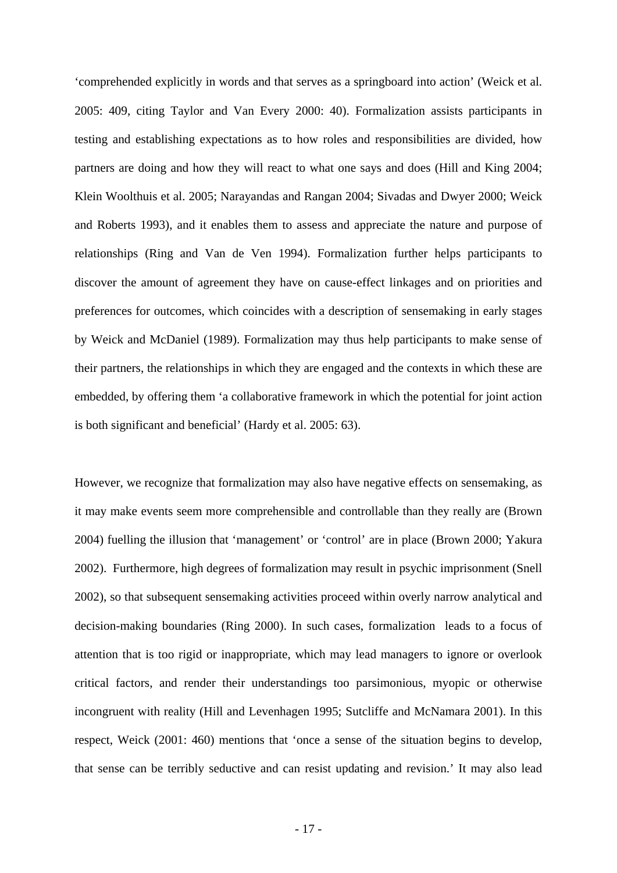'comprehended explicitly in words and that serves as a springboard into action' (Weick et al. 2005: 409, citing Taylor and Van Every 2000: 40). Formalization assists participants in testing and establishing expectations as to how roles and responsibilities are divided, how partners are doing and how they will react to what one says and does (Hill and King 2004; Klein Woolthuis et al. 2005; Narayandas and Rangan 2004; Sivadas and Dwyer 2000; Weick and Roberts 1993), and it enables them to assess and appreciate the nature and purpose of relationships (Ring and Van de Ven 1994). Formalization further helps participants to discover the amount of agreement they have on cause-effect linkages and on priorities and preferences for outcomes, which coincides with a description of sensemaking in early stages by Weick and McDaniel (1989). Formalization may thus help participants to make sense of their partners, the relationships in which they are engaged and the contexts in which these are embedded, by offering them 'a collaborative framework in which the potential for joint action is both significant and beneficial' (Hardy et al. 2005: 63).

However, we recognize that formalization may also have negative effects on sensemaking, as it may make events seem more comprehensible and controllable than they really are (Brown 2004) fuelling the illusion that 'management' or 'control' are in place (Brown 2000; Yakura 2002). Furthermore, high degrees of formalization may result in psychic imprisonment (Snell 2002), so that subsequent sensemaking activities proceed within overly narrow analytical and decision-making boundaries (Ring 2000). In such cases, formalization leads to a focus of attention that is too rigid or inappropriate, which may lead managers to ignore or overlook critical factors, and render their understandings too parsimonious, myopic or otherwise incongruent with reality (Hill and Levenhagen 1995; Sutcliffe and McNamara 2001). In this respect, Weick (2001: 460) mentions that 'once a sense of the situation begins to develop, that sense can be terribly seductive and can resist updating and revision.' It may also lead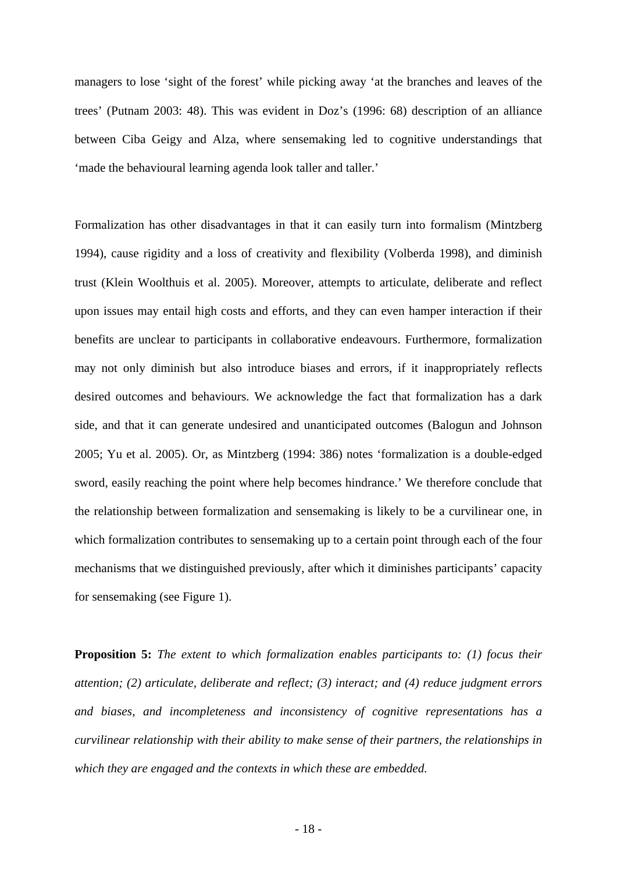managers to lose 'sight of the forest' while picking away 'at the branches and leaves of the trees' (Putnam 2003: 48). This was evident in Doz's (1996: 68) description of an alliance between Ciba Geigy and Alza, where sensemaking led to cognitive understandings that 'made the behavioural learning agenda look taller and taller.'

Formalization has other disadvantages in that it can easily turn into formalism (Mintzberg 1994), cause rigidity and a loss of creativity and flexibility (Volberda 1998), and diminish trust (Klein Woolthuis et al. 2005). Moreover, attempts to articulate, deliberate and reflect upon issues may entail high costs and efforts, and they can even hamper interaction if their benefits are unclear to participants in collaborative endeavours. Furthermore, formalization may not only diminish but also introduce biases and errors, if it inappropriately reflects desired outcomes and behaviours. We acknowledge the fact that formalization has a dark side, and that it can generate undesired and unanticipated outcomes (Balogun and Johnson 2005; Yu et al. 2005). Or, as Mintzberg (1994: 386) notes 'formalization is a double-edged sword, easily reaching the point where help becomes hindrance.' We therefore conclude that the relationship between formalization and sensemaking is likely to be a curvilinear one, in which formalization contributes to sensemaking up to a certain point through each of the four mechanisms that we distinguished previously, after which it diminishes participants' capacity for sensemaking (see Figure 1).

**Proposition 5:** *The extent to which formalization enables participants to: (1) focus their attention; (2) articulate, deliberate and reflect; (3) interact; and (4) reduce judgment errors and biases, and incompleteness and inconsistency of cognitive representations has a curvilinear relationship with their ability to make sense of their partners, the relationships in which they are engaged and the contexts in which these are embedded.*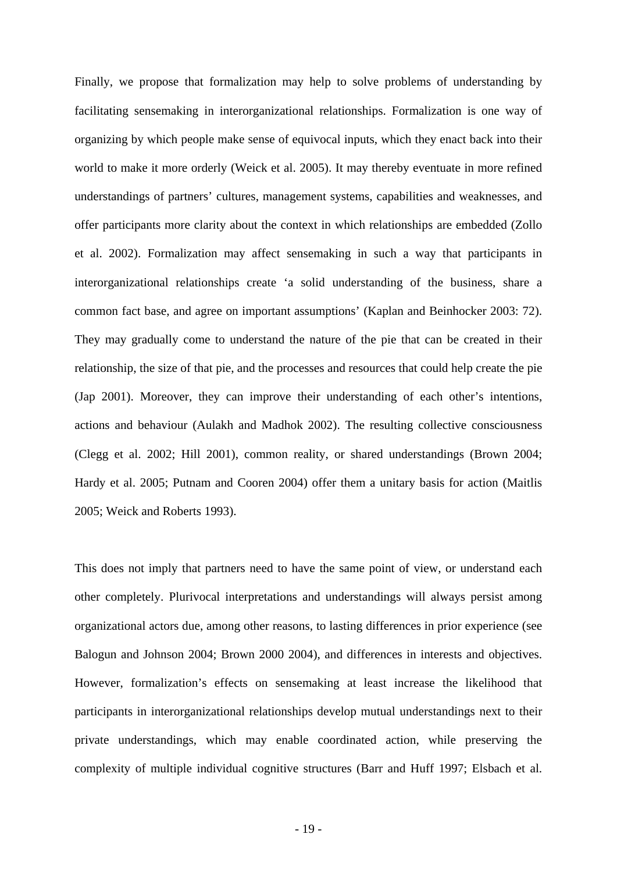Finally, we propose that formalization may help to solve problems of understanding by facilitating sensemaking in interorganizational relationships. Formalization is one way of organizing by which people make sense of equivocal inputs, which they enact back into their world to make it more orderly (Weick et al. 2005). It may thereby eventuate in more refined understandings of partners' cultures, management systems, capabilities and weaknesses, and offer participants more clarity about the context in which relationships are embedded (Zollo et al. 2002). Formalization may affect sensemaking in such a way that participants in interorganizational relationships create 'a solid understanding of the business, share a common fact base, and agree on important assumptions' (Kaplan and Beinhocker 2003: 72). They may gradually come to understand the nature of the pie that can be created in their relationship, the size of that pie, and the processes and resources that could help create the pie (Jap 2001). Moreover, they can improve their understanding of each other's intentions, actions and behaviour (Aulakh and Madhok 2002). The resulting collective consciousness (Clegg et al. 2002; Hill 2001), common reality, or shared understandings (Brown 2004; Hardy et al. 2005; Putnam and Cooren 2004) offer them a unitary basis for action (Maitlis 2005; Weick and Roberts 1993).

This does not imply that partners need to have the same point of view, or understand each other completely. Plurivocal interpretations and understandings will always persist among organizational actors due, among other reasons, to lasting differences in prior experience (see Balogun and Johnson 2004; Brown 2000 2004), and differences in interests and objectives. However, formalization's effects on sensemaking at least increase the likelihood that participants in interorganizational relationships develop mutual understandings next to their private understandings, which may enable coordinated action, while preserving the complexity of multiple individual cognitive structures (Barr and Huff 1997; Elsbach et al.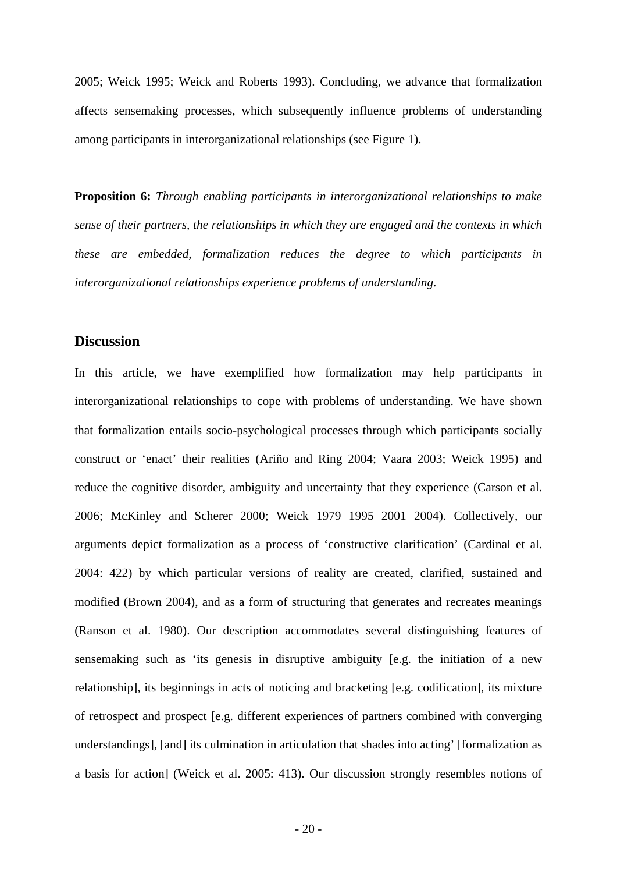2005; Weick 1995; Weick and Roberts 1993). Concluding, we advance that formalization affects sensemaking processes, which subsequently influence problems of understanding among participants in interorganizational relationships (see Figure 1).

**Proposition 6:** *Through enabling participants in interorganizational relationships to make sense of their partners, the relationships in which they are engaged and the contexts in which these are embedded, formalization reduces the degree to which participants in interorganizational relationships experience problems of understanding*.

#### **Discussion**

In this article, we have exemplified how formalization may help participants in interorganizational relationships to cope with problems of understanding. We have shown that formalization entails socio-psychological processes through which participants socially construct or 'enact' their realities (Ariño and Ring 2004; Vaara 2003; Weick 1995) and reduce the cognitive disorder, ambiguity and uncertainty that they experience (Carson et al. 2006; McKinley and Scherer 2000; Weick 1979 1995 2001 2004). Collectively, our arguments depict formalization as a process of 'constructive clarification' (Cardinal et al. 2004: 422) by which particular versions of reality are created, clarified, sustained and modified (Brown 2004), and as a form of structuring that generates and recreates meanings (Ranson et al. 1980). Our description accommodates several distinguishing features of sensemaking such as 'its genesis in disruptive ambiguity [e.g. the initiation of a new relationship], its beginnings in acts of noticing and bracketing [e.g. codification], its mixture of retrospect and prospect [e.g. different experiences of partners combined with converging understandings], [and] its culmination in articulation that shades into acting' [formalization as a basis for action] (Weick et al. 2005: 413). Our discussion strongly resembles notions of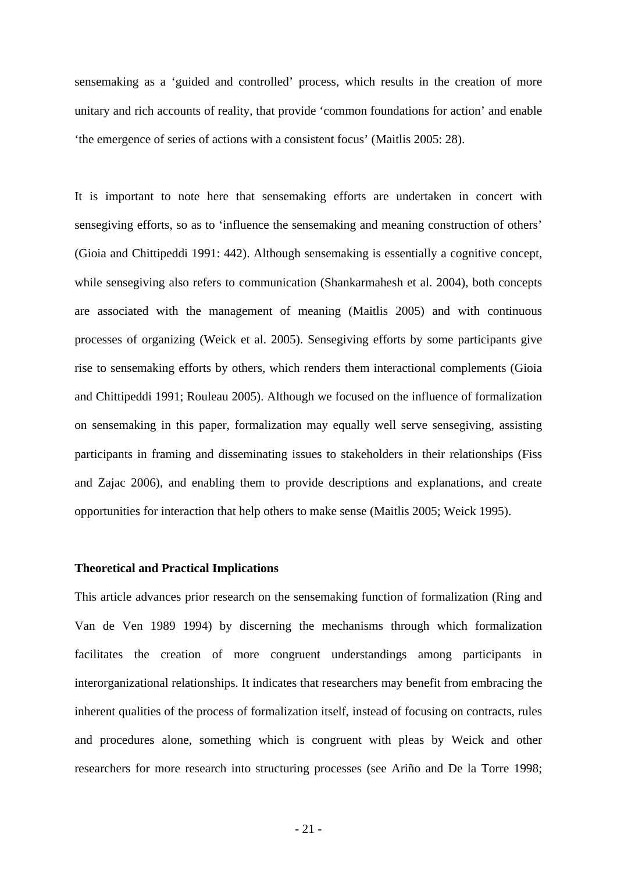sensemaking as a 'guided and controlled' process, which results in the creation of more unitary and rich accounts of reality, that provide 'common foundations for action' and enable 'the emergence of series of actions with a consistent focus' (Maitlis 2005: 28).

It is important to note here that sensemaking efforts are undertaken in concert with sensegiving efforts, so as to 'influence the sensemaking and meaning construction of others' (Gioia and Chittipeddi 1991: 442). Although sensemaking is essentially a cognitive concept, while sensegiving also refers to communication (Shankarmahesh et al. 2004), both concepts are associated with the management of meaning (Maitlis 2005) and with continuous processes of organizing (Weick et al. 2005). Sensegiving efforts by some participants give rise to sensemaking efforts by others, which renders them interactional complements (Gioia and Chittipeddi 1991; Rouleau 2005). Although we focused on the influence of formalization on sensemaking in this paper, formalization may equally well serve sensegiving, assisting participants in framing and disseminating issues to stakeholders in their relationships (Fiss and Zajac 2006), and enabling them to provide descriptions and explanations, and create opportunities for interaction that help others to make sense (Maitlis 2005; Weick 1995).

#### **Theoretical and Practical Implications**

This article advances prior research on the sensemaking function of formalization (Ring and Van de Ven 1989 1994) by discerning the mechanisms through which formalization facilitates the creation of more congruent understandings among participants in interorganizational relationships. It indicates that researchers may benefit from embracing the inherent qualities of the process of formalization itself, instead of focusing on contracts, rules and procedures alone, something which is congruent with pleas by Weick and other researchers for more research into structuring processes (see Ariño and De la Torre 1998;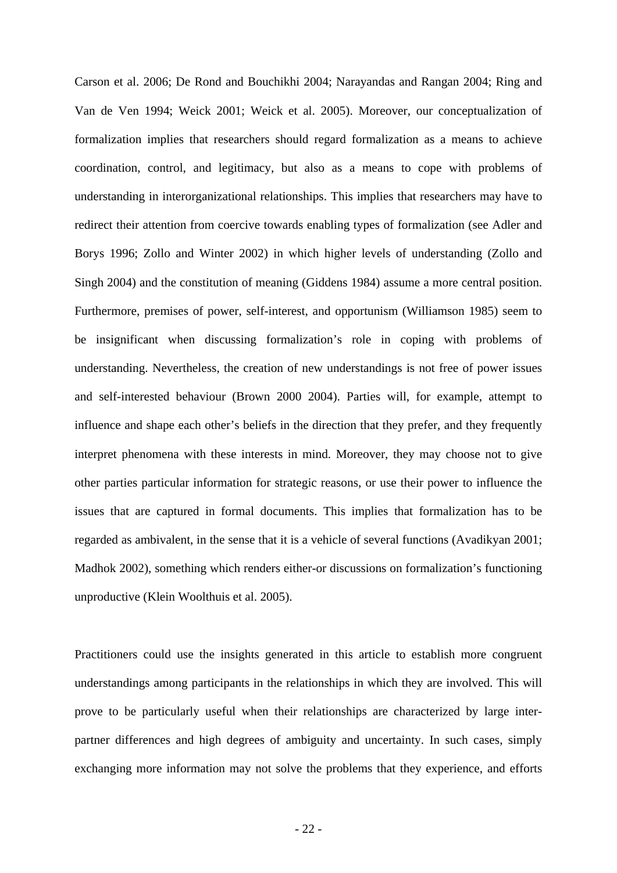Carson et al. 2006; De Rond and Bouchikhi 2004; Narayandas and Rangan 2004; Ring and Van de Ven 1994; Weick 2001; Weick et al. 2005). Moreover, our conceptualization of formalization implies that researchers should regard formalization as a means to achieve coordination, control, and legitimacy, but also as a means to cope with problems of understanding in interorganizational relationships. This implies that researchers may have to redirect their attention from coercive towards enabling types of formalization (see Adler and Borys 1996; Zollo and Winter 2002) in which higher levels of understanding (Zollo and Singh 2004) and the constitution of meaning (Giddens 1984) assume a more central position. Furthermore, premises of power, self-interest, and opportunism (Williamson 1985) seem to be insignificant when discussing formalization's role in coping with problems of understanding. Nevertheless, the creation of new understandings is not free of power issues and self-interested behaviour (Brown 2000 2004). Parties will, for example, attempt to influence and shape each other's beliefs in the direction that they prefer, and they frequently interpret phenomena with these interests in mind. Moreover, they may choose not to give other parties particular information for strategic reasons, or use their power to influence the issues that are captured in formal documents. This implies that formalization has to be regarded as ambivalent, in the sense that it is a vehicle of several functions (Avadikyan 2001; Madhok 2002), something which renders either-or discussions on formalization's functioning unproductive (Klein Woolthuis et al. 2005).

Practitioners could use the insights generated in this article to establish more congruent understandings among participants in the relationships in which they are involved. This will prove to be particularly useful when their relationships are characterized by large interpartner differences and high degrees of ambiguity and uncertainty. In such cases, simply exchanging more information may not solve the problems that they experience, and efforts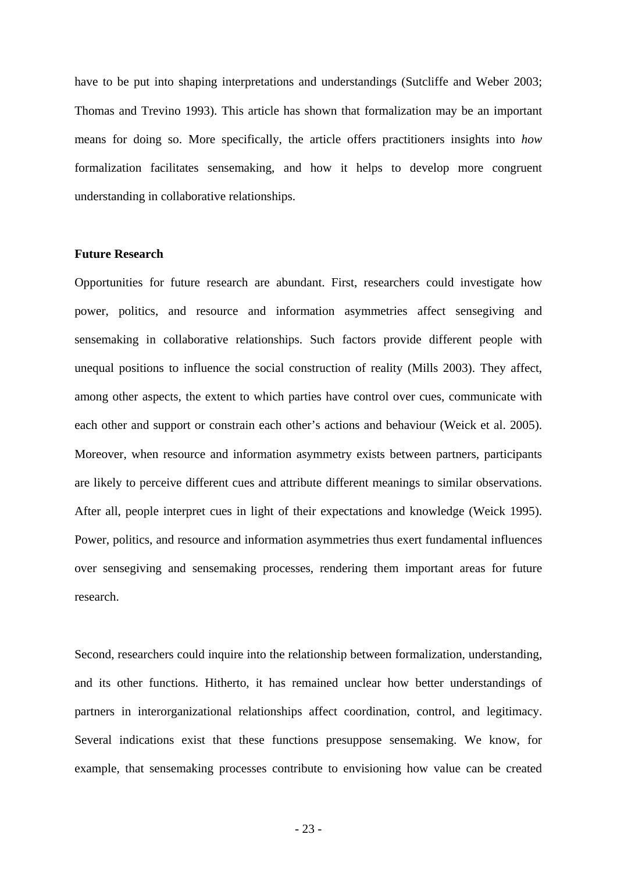have to be put into shaping interpretations and understandings (Sutcliffe and Weber 2003; Thomas and Trevino 1993). This article has shown that formalization may be an important means for doing so. More specifically, the article offers practitioners insights into *how* formalization facilitates sensemaking, and how it helps to develop more congruent understanding in collaborative relationships.

#### **Future Research**

Opportunities for future research are abundant. First, researchers could investigate how power, politics, and resource and information asymmetries affect sensegiving and sensemaking in collaborative relationships. Such factors provide different people with unequal positions to influence the social construction of reality (Mills 2003). They affect, among other aspects, the extent to which parties have control over cues, communicate with each other and support or constrain each other's actions and behaviour (Weick et al. 2005). Moreover, when resource and information asymmetry exists between partners, participants are likely to perceive different cues and attribute different meanings to similar observations. After all, people interpret cues in light of their expectations and knowledge (Weick 1995). Power, politics, and resource and information asymmetries thus exert fundamental influences over sensegiving and sensemaking processes, rendering them important areas for future research.

Second, researchers could inquire into the relationship between formalization, understanding, and its other functions. Hitherto, it has remained unclear how better understandings of partners in interorganizational relationships affect coordination, control, and legitimacy. Several indications exist that these functions presuppose sensemaking. We know, for example, that sensemaking processes contribute to envisioning how value can be created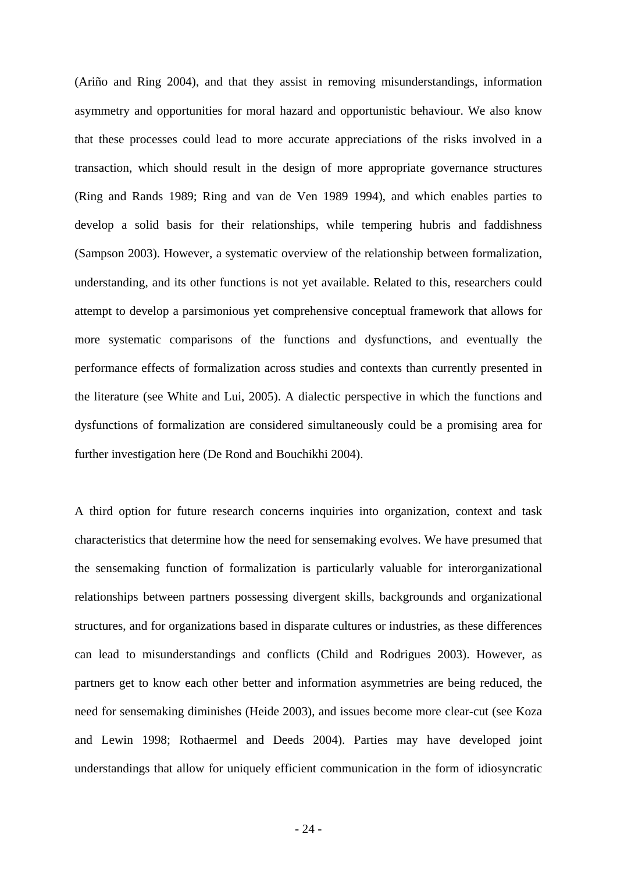(Ariño and Ring 2004), and that they assist in removing misunderstandings, information asymmetry and opportunities for moral hazard and opportunistic behaviour. We also know that these processes could lead to more accurate appreciations of the risks involved in a transaction, which should result in the design of more appropriate governance structures (Ring and Rands 1989; Ring and van de Ven 1989 1994), and which enables parties to develop a solid basis for their relationships, while tempering hubris and faddishness (Sampson 2003). However, a systematic overview of the relationship between formalization, understanding, and its other functions is not yet available. Related to this, researchers could attempt to develop a parsimonious yet comprehensive conceptual framework that allows for more systematic comparisons of the functions and dysfunctions, and eventually the performance effects of formalization across studies and contexts than currently presented in the literature (see White and Lui, 2005). A dialectic perspective in which the functions and dysfunctions of formalization are considered simultaneously could be a promising area for further investigation here (De Rond and Bouchikhi 2004).

A third option for future research concerns inquiries into organization, context and task characteristics that determine how the need for sensemaking evolves. We have presumed that the sensemaking function of formalization is particularly valuable for interorganizational relationships between partners possessing divergent skills, backgrounds and organizational structures, and for organizations based in disparate cultures or industries, as these differences can lead to misunderstandings and conflicts (Child and Rodrigues 2003). However, as partners get to know each other better and information asymmetries are being reduced, the need for sensemaking diminishes (Heide 2003), and issues become more clear-cut (see Koza and Lewin 1998; Rothaermel and Deeds 2004). Parties may have developed joint understandings that allow for uniquely efficient communication in the form of idiosyncratic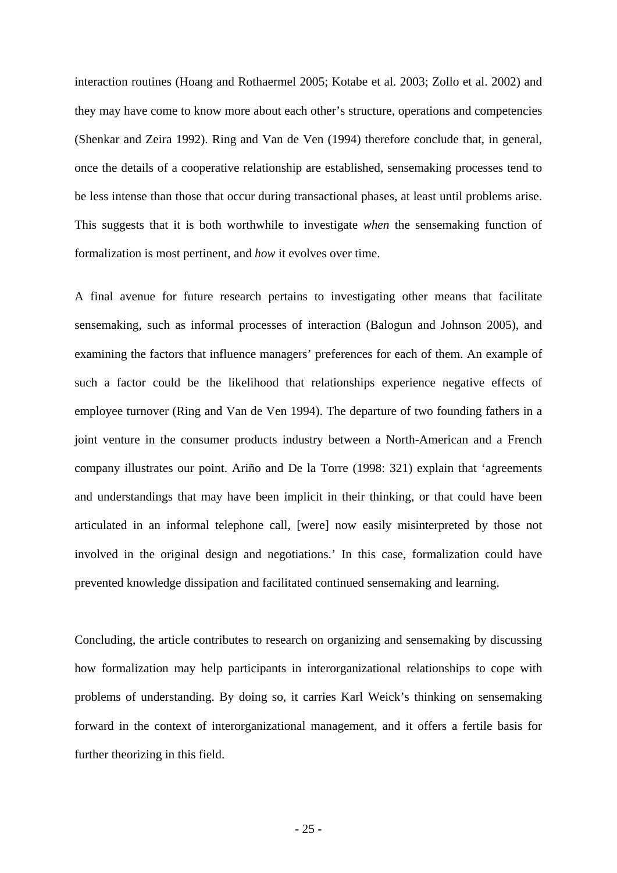interaction routines (Hoang and Rothaermel 2005; Kotabe et al. 2003; Zollo et al. 2002) and they may have come to know more about each other's structure, operations and competencies (Shenkar and Zeira 1992). Ring and Van de Ven (1994) therefore conclude that, in general, once the details of a cooperative relationship are established, sensemaking processes tend to be less intense than those that occur during transactional phases, at least until problems arise. This suggests that it is both worthwhile to investigate *when* the sensemaking function of formalization is most pertinent, and *how* it evolves over time.

A final avenue for future research pertains to investigating other means that facilitate sensemaking, such as informal processes of interaction (Balogun and Johnson 2005), and examining the factors that influence managers' preferences for each of them. An example of such a factor could be the likelihood that relationships experience negative effects of employee turnover (Ring and Van de Ven 1994). The departure of two founding fathers in a joint venture in the consumer products industry between a North-American and a French company illustrates our point. Ariño and De la Torre (1998: 321) explain that 'agreements and understandings that may have been implicit in their thinking, or that could have been articulated in an informal telephone call, [were] now easily misinterpreted by those not involved in the original design and negotiations.' In this case, formalization could have prevented knowledge dissipation and facilitated continued sensemaking and learning.

Concluding, the article contributes to research on organizing and sensemaking by discussing how formalization may help participants in interorganizational relationships to cope with problems of understanding. By doing so, it carries Karl Weick's thinking on sensemaking forward in the context of interorganizational management, and it offers a fertile basis for further theorizing in this field.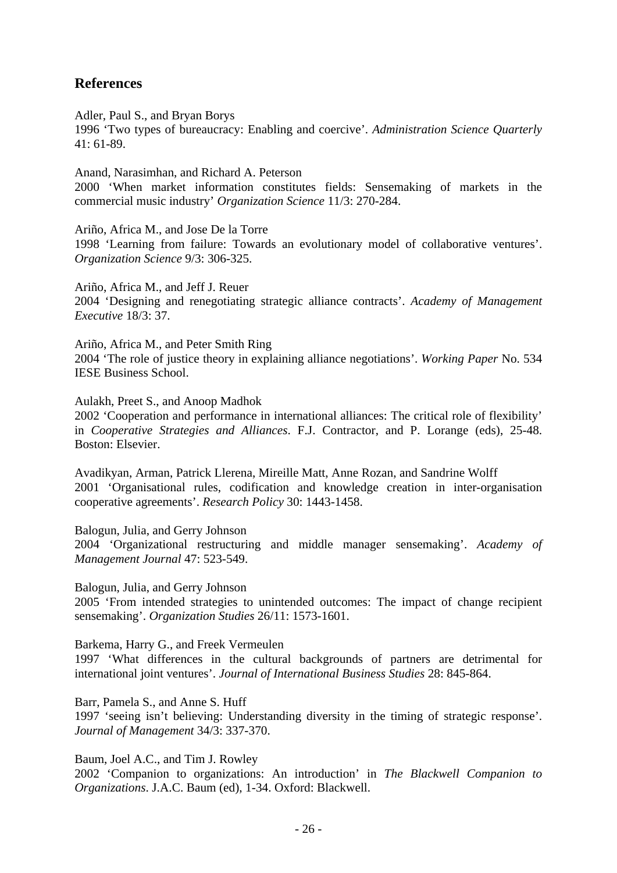## **References**

Adler, Paul S., and Bryan Borys 1996 'Two types of bureaucracy: Enabling and coercive'. *Administration Science Quarterly* 41: 61-89.

Anand, Narasimhan, and Richard A. Peterson 2000 'When market information constitutes fields: Sensemaking of markets in the commercial music industry' *Organization Science* 11/3: 270-284.

Ariño, Africa M., and Jose De la Torre 1998 'Learning from failure: Towards an evolutionary model of collaborative ventures'. *Organization Science* 9/3: 306-325.

Ariño, Africa M., and Jeff J. Reuer 2004 'Designing and renegotiating strategic alliance contracts'. *Academy of Management Executive* 18/3: 37.

Ariño, Africa M., and Peter Smith Ring 2004 'The role of justice theory in explaining alliance negotiations'. *Working Paper* No. 534 IESE Business School.

Aulakh, Preet S., and Anoop Madhok

2002 'Cooperation and performance in international alliances: The critical role of flexibility' in *Cooperative Strategies and Alliances*. F.J. Contractor, and P. Lorange (eds), 25-48. Boston: Elsevier.

Avadikyan, Arman, Patrick Llerena, Mireille Matt, Anne Rozan, and Sandrine Wolff 2001 'Organisational rules, codification and knowledge creation in inter-organisation cooperative agreements'. *Research Policy* 30: 1443-1458.

Balogun, Julia, and Gerry Johnson

2004 'Organizational restructuring and middle manager sensemaking'. *Academy of Management Journal* 47: 523-549.

Balogun, Julia, and Gerry Johnson

2005 'From intended strategies to unintended outcomes: The impact of change recipient sensemaking'. *Organization Studies* 26/11: 1573-1601.

Barkema, Harry G., and Freek Vermeulen

1997 'What differences in the cultural backgrounds of partners are detrimental for international joint ventures'. *Journal of International Business Studies* 28: 845-864.

Barr, Pamela S., and Anne S. Huff

1997 'seeing isn't believing: Understanding diversity in the timing of strategic response'. *Journal of Management* 34/3: 337-370.

Baum, Joel A.C., and Tim J. Rowley

2002 'Companion to organizations: An introduction' in *The Blackwell Companion to Organizations*. J.A.C. Baum (ed), 1-34. Oxford: Blackwell.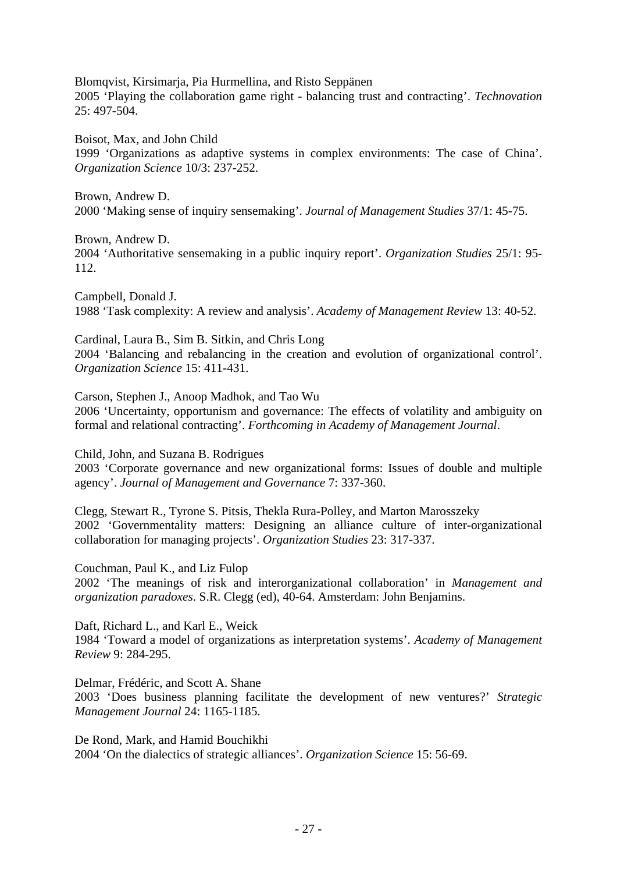Blomqvist, Kirsimarja, Pia Hurmellina, and Risto Seppänen 2005 'Playing the collaboration game right - balancing trust and contracting'. *Technovation* 25: 497-504.

Boisot, Max, and John Child 1999 'Organizations as adaptive systems in complex environments: The case of China'. *Organization Science* 10/3: 237-252.

Brown, Andrew D. 2000 'Making sense of inquiry sensemaking'. *Journal of Management Studies* 37/1: 45-75.

Brown, Andrew D.

2004 'Authoritative sensemaking in a public inquiry report'. *Organization Studies* 25/1: 95- 112.

Campbell, Donald J. 1988 'Task complexity: A review and analysis'. *Academy of Management Review* 13: 40-52.

Cardinal, Laura B., Sim B. Sitkin, and Chris Long 2004 'Balancing and rebalancing in the creation and evolution of organizational control'. *Organization Science* 15: 411-431.

Carson, Stephen J., Anoop Madhok, and Tao Wu 2006 'Uncertainty, opportunism and governance: The effects of volatility and ambiguity on formal and relational contracting'. *Forthcoming in Academy of Management Journal*.

Child, John, and Suzana B. Rodrigues

2003 'Corporate governance and new organizational forms: Issues of double and multiple agency'. *Journal of Management and Governance* 7: 337-360.

Clegg, Stewart R., Tyrone S. Pitsis, Thekla Rura-Polley, and Marton Marosszeky 2002 'Governmentality matters: Designing an alliance culture of inter-organizational collaboration for managing projects'. *Organization Studies* 23: 317-337.

Couchman, Paul K., and Liz Fulop

2002 'The meanings of risk and interorganizational collaboration' in *Management and organization paradoxes*. S.R. Clegg (ed), 40-64. Amsterdam: John Benjamins.

Daft, Richard L., and Karl E., Weick 1984 'Toward a model of organizations as interpretation systems'. *Academy of Management Review* 9: 284-295.

Delmar, Frédéric, and Scott A. Shane 2003 'Does business planning facilitate the development of new ventures?' *Strategic Management Journal* 24: 1165-1185.

De Rond, Mark, and Hamid Bouchikhi 2004 'On the dialectics of strategic alliances'. *Organization Science* 15: 56-69.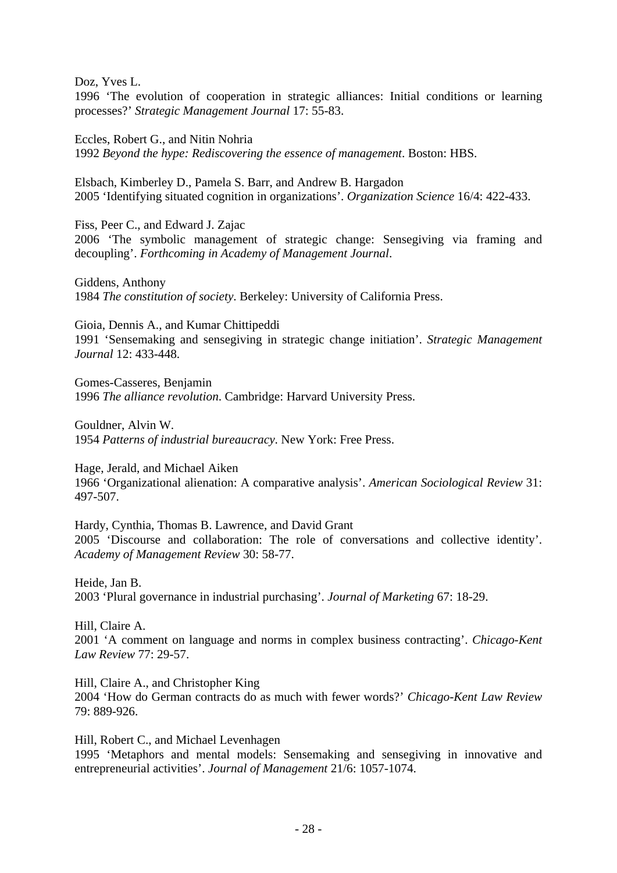Doz, Yves L.

1996 'The evolution of cooperation in strategic alliances: Initial conditions or learning processes?' *Strategic Management Journal* 17: 55-83.

Eccles, Robert G., and Nitin Nohria 1992 *Beyond the hype: Rediscovering the essence of management*. Boston: HBS.

Elsbach, Kimberley D., Pamela S. Barr, and Andrew B. Hargadon 2005 'Identifying situated cognition in organizations'. *Organization Science* 16/4: 422-433.

Fiss, Peer C., and Edward J. Zajac 2006 'The symbolic management of strategic change: Sensegiving via framing and decoupling'. *Forthcoming in Academy of Management Journal*.

Giddens, Anthony 1984 *The constitution of society*. Berkeley: University of California Press.

Gioia, Dennis A., and Kumar Chittipeddi 1991 'Sensemaking and sensegiving in strategic change initiation'. *Strategic Management Journal* 12: 433-448.

Gomes-Casseres, Benjamin 1996 *The alliance revolution*. Cambridge: Harvard University Press.

Gouldner, Alvin W. 1954 *Patterns of industrial bureaucracy*. New York: Free Press.

Hage, Jerald, and Michael Aiken 1966 'Organizational alienation: A comparative analysis'. *American Sociological Review* 31: 497-507.

Hardy, Cynthia, Thomas B. Lawrence, and David Grant 2005 'Discourse and collaboration: The role of conversations and collective identity'. *Academy of Management Review* 30: 58-77.

Heide, Jan B. 2003 'Plural governance in industrial purchasing'. *Journal of Marketing* 67: 18-29.

Hill, Claire A. 2001 'A comment on language and norms in complex business contracting'. *Chicago-Kent Law Review* 77: 29-57.

Hill, Claire A., and Christopher King 2004 'How do German contracts do as much with fewer words?' *Chicago-Kent Law Review* 79: 889-926.

Hill, Robert C., and Michael Levenhagen 1995 'Metaphors and mental models: Sensemaking and sensegiving in innovative and entrepreneurial activities'. *Journal of Management* 21/6: 1057-1074.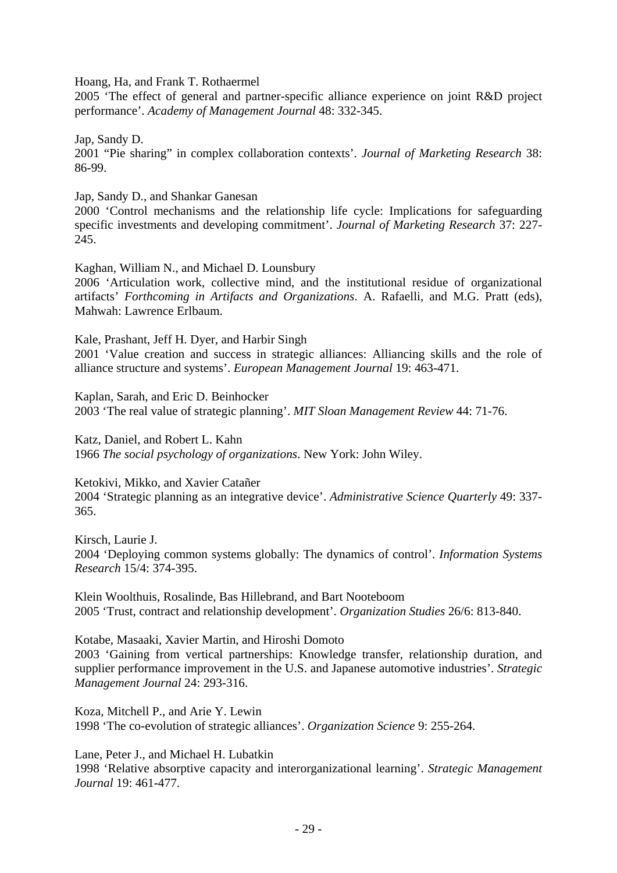Hoang, Ha, and Frank T. Rothaermel

2005 'The effect of general and partner-specific alliance experience on joint R&D project performance'. *Academy of Management Journal* 48: 332-345.

Jap, Sandy D. 2001 "Pie sharing" in complex collaboration contexts'. *Journal of Marketing Research* 38: 86-99.

Jap, Sandy D., and Shankar Ganesan

2000 'Control mechanisms and the relationship life cycle: Implications for safeguarding specific investments and developing commitment'. *Journal of Marketing Research* 37: 227- 245.

Kaghan, William N., and Michael D. Lounsbury

2006 'Articulation work, collective mind, and the institutional residue of organizational artifacts' *Forthcoming in Artifacts and Organizations*. A. Rafaelli, and M.G. Pratt (eds), Mahwah: Lawrence Erlbaum.

Kale, Prashant, Jeff H. Dyer, and Harbir Singh

2001 'Value creation and success in strategic alliances: Alliancing skills and the role of alliance structure and systems'. *European Management Journal* 19: 463-471.

Kaplan, Sarah, and Eric D. Beinhocker 2003 'The real value of strategic planning'. *MIT Sloan Management Review* 44: 71-76.

Katz, Daniel, and Robert L. Kahn 1966 *The social psychology of organizations*. New York: John Wiley.

Ketokivi, Mikko, and Xavier Catañer 2004 'Strategic planning as an integrative device'. *Administrative Science Quarterly* 49: 337- 365.

Kirsch, Laurie J. 2004 'Deploying common systems globally: The dynamics of control'. *Information Systems Research* 15/4: 374-395.

Klein Woolthuis, Rosalinde, Bas Hillebrand, and Bart Nooteboom 2005 'Trust, contract and relationship development'. *Organization Studies* 26/6: 813-840.

Kotabe, Masaaki, Xavier Martin, and Hiroshi Domoto 2003 'Gaining from vertical partnerships: Knowledge transfer, relationship duration, and supplier performance improvement in the U.S. and Japanese automotive industries'. *Strategic Management Journal* 24: 293-316.

Koza, Mitchell P., and Arie Y. Lewin 1998 'The co-evolution of strategic alliances'. *Organization Science* 9: 255-264.

Lane, Peter J., and Michael H. Lubatkin

1998 'Relative absorptive capacity and interorganizational learning'. *Strategic Management Journal* 19: 461-477.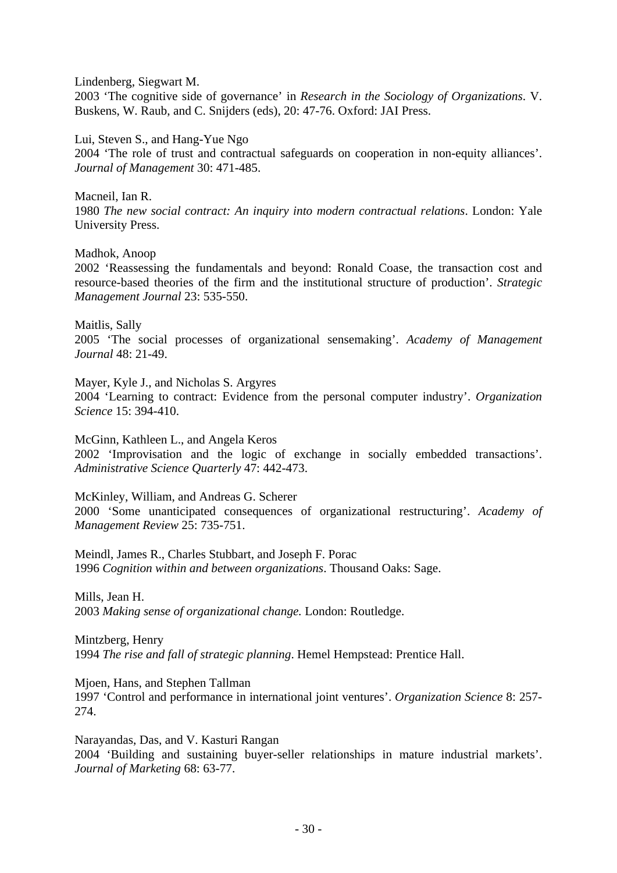Lindenberg, Siegwart M. 2003 'The cognitive side of governance' in *Research in the Sociology of Organizations*. V. Buskens, W. Raub, and C. Snijders (eds), 20: 47-76. Oxford: JAI Press.

Lui, Steven S., and Hang-Yue Ngo 2004 'The role of trust and contractual safeguards on cooperation in non-equity alliances'. *Journal of Management* 30: 471-485.

Macneil, Ian R. 1980 *The new social contract: An inquiry into modern contractual relations*. London: Yale University Press.

Madhok, Anoop 2002 'Reassessing the fundamentals and beyond: Ronald Coase, the transaction cost and resource-based theories of the firm and the institutional structure of production'. *Strategic Management Journal* 23: 535-550.

Maitlis, Sally 2005 'The social processes of organizational sensemaking'. *Academy of Management Journal* 48: 21-49.

Mayer, Kyle J., and Nicholas S. Argyres 2004 'Learning to contract: Evidence from the personal computer industry'. *Organization Science* 15: 394-410.

McGinn, Kathleen L., and Angela Keros 2002 'Improvisation and the logic of exchange in socially embedded transactions'. *Administrative Science Quarterly* 47: 442-473.

McKinley, William, and Andreas G. Scherer 2000 'Some unanticipated consequences of organizational restructuring'. *Academy of Management Review* 25: 735-751.

Meindl, James R., Charles Stubbart, and Joseph F. Porac 1996 *Cognition within and between organizations*. Thousand Oaks: Sage.

Mills, Jean H. 2003 *Making sense of organizational change.* London: Routledge.

Mintzberg, Henry 1994 *The rise and fall of strategic planning*. Hemel Hempstead: Prentice Hall.

Mjoen, Hans, and Stephen Tallman

1997 'Control and performance in international joint ventures'. *Organization Science* 8: 257- 274.

Narayandas, Das, and V. Kasturi Rangan 2004 'Building and sustaining buyer-seller relationships in mature industrial markets'. *Journal of Marketing* 68: 63-77.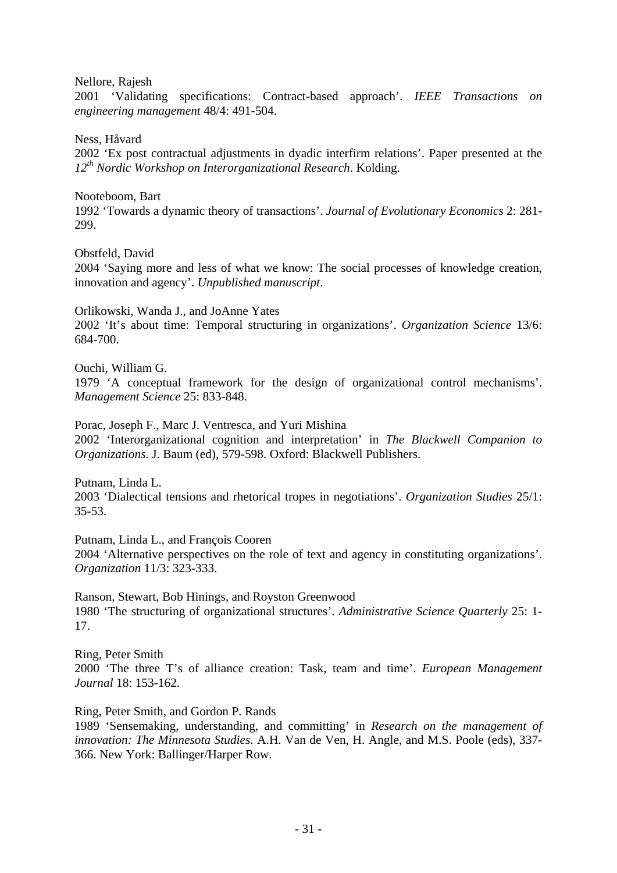Nellore, Rajesh

2001 'Validating specifications: Contract-based approach'. *IEEE Transactions on engineering management* 48/4: 491-504.

Ness, Håvard

2002 'Ex post contractual adjustments in dyadic interfirm relations'. Paper presented at the *12th Nordic Workshop on Interorganizational Research*. Kolding.

Nooteboom, Bart 1992 'Towards a dynamic theory of transactions'. *Journal of Evolutionary Economics* 2: 281- 299.

Obstfeld, David 2004 'Saying more and less of what we know: The social processes of knowledge creation, innovation and agency'. *Unpublished manuscript*.

Orlikowski, Wanda J., and JoAnne Yates

2002 'It's about time: Temporal structuring in organizations'. *Organization Science* 13/6: 684-700.

Ouchi, William G.

1979 'A conceptual framework for the design of organizational control mechanisms'. *Management Science* 25: 833-848.

Porac, Joseph F., Marc J. Ventresca, and Yuri Mishina 2002 'Interorganizational cognition and interpretation' in *The Blackwell Companion to Organizations*. J. Baum (ed), 579-598. Oxford: Blackwell Publishers.

Putnam, Linda L.

2003 'Dialectical tensions and rhetorical tropes in negotiations'. *Organization Studies* 25/1: 35-53.

Putnam, Linda L., and François Cooren 2004 'Alternative perspectives on the role of text and agency in constituting organizations'. *Organization* 11/3: 323-333.

Ranson, Stewart, Bob Hinings, and Royston Greenwood 1980 'The structuring of organizational structures'. *Administrative Science Quarterly* 25: 1- 17.

Ring, Peter Smith 2000 'The three T's of alliance creation: Task, team and time'. *European Management Journal* 18: 153-162.

Ring, Peter Smith, and Gordon P. Rands

1989 'Sensemaking, understanding, and committing' in *Research on the management of innovation: The Minnesota Studies*. A.H. Van de Ven, H. Angle, and M.S. Poole (eds), 337- 366. New York: Ballinger/Harper Row.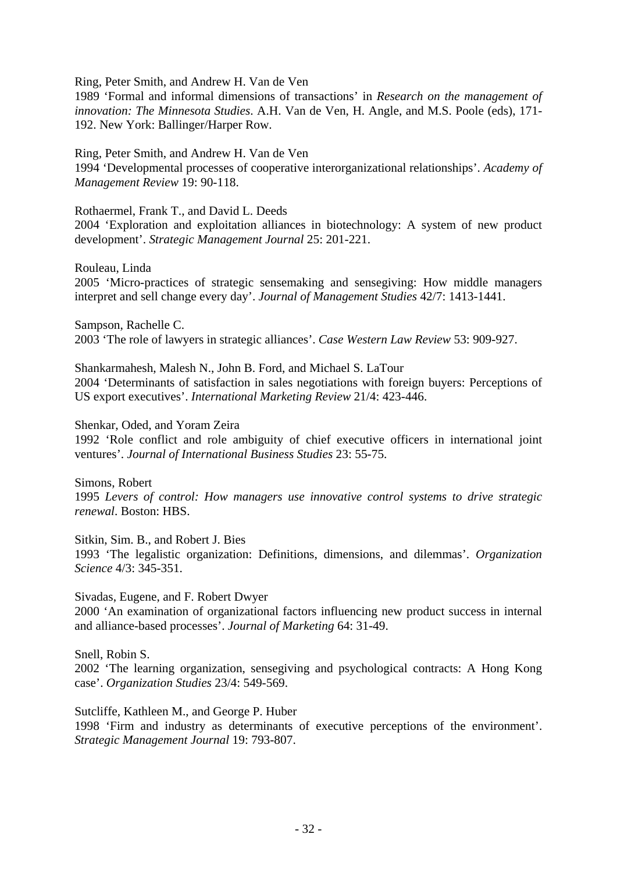Ring, Peter Smith, and Andrew H. Van de Ven

1989 'Formal and informal dimensions of transactions' in *Research on the management of innovation: The Minnesota Studies*. A.H. Van de Ven, H. Angle, and M.S. Poole (eds), 171- 192. New York: Ballinger/Harper Row.

Ring, Peter Smith, and Andrew H. Van de Ven 1994 'Developmental processes of cooperative interorganizational relationships'. *Academy of Management Review* 19: 90-118.

Rothaermel, Frank T., and David L. Deeds 2004 'Exploration and exploitation alliances in biotechnology: A system of new product

development'. *Strategic Management Journal* 25: 201-221.

Rouleau, Linda 2005 'Micro-practices of strategic sensemaking and sensegiving: How middle managers interpret and sell change every day'. *Journal of Management Studies* 42/7: 1413-1441.

Sampson, Rachelle C. 2003 'The role of lawyers in strategic alliances'. *Case Western Law Review* 53: 909-927.

Shankarmahesh, Malesh N., John B. Ford, and Michael S. LaTour 2004 'Determinants of satisfaction in sales negotiations with foreign buyers: Perceptions of US export executives'. *International Marketing Review* 21/4: 423-446.

Shenkar, Oded, and Yoram Zeira

1992 'Role conflict and role ambiguity of chief executive officers in international joint ventures'. *Journal of International Business Studies* 23: 55-75.

Simons, Robert 1995 *Levers of control: How managers use innovative control systems to drive strategic renewal*. Boston: HBS.

Sitkin, Sim. B., and Robert J. Bies 1993 'The legalistic organization: Definitions, dimensions, and dilemmas'. *Organization Science* 4/3: 345-351.

Sivadas, Eugene, and F. Robert Dwyer

2000 'An examination of organizational factors influencing new product success in internal and alliance-based processes'. *Journal of Marketing* 64: 31-49.

Snell, Robin S.

2002 'The learning organization, sensegiving and psychological contracts: A Hong Kong case'. *Organization Studies* 23/4: 549-569.

Sutcliffe, Kathleen M., and George P. Huber

1998 'Firm and industry as determinants of executive perceptions of the environment'. *Strategic Management Journal* 19: 793-807.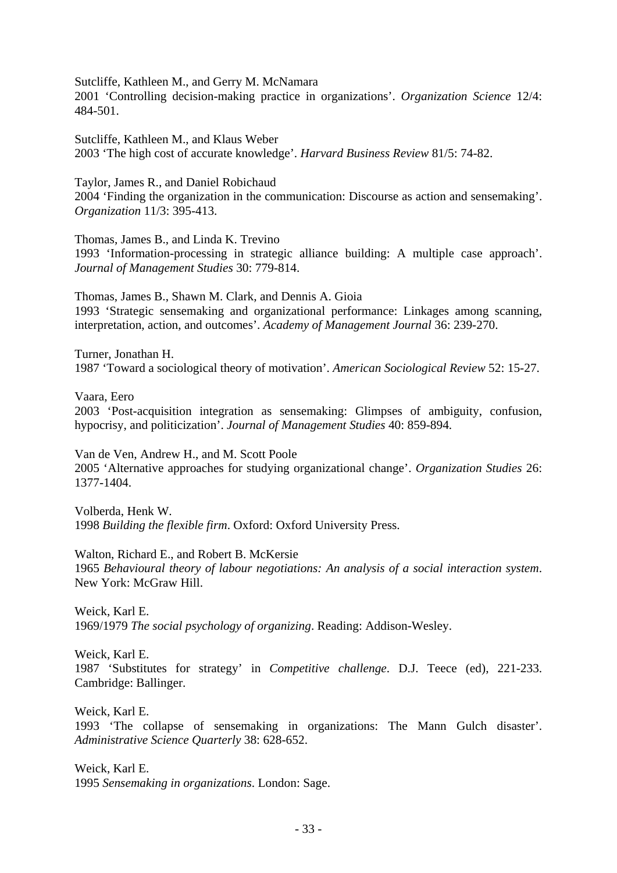Sutcliffe, Kathleen M., and Gerry M. McNamara

2001 'Controlling decision-making practice in organizations'. *Organization Science* 12/4: 484-501.

Sutcliffe, Kathleen M., and Klaus Weber 2003 'The high cost of accurate knowledge'. *Harvard Business Review* 81/5: 74-82.

Taylor, James R., and Daniel Robichaud 2004 'Finding the organization in the communication: Discourse as action and sensemaking'. *Organization* 11/3: 395-413.

Thomas, James B., and Linda K. Trevino

1993 'Information-processing in strategic alliance building: A multiple case approach'. *Journal of Management Studies* 30: 779-814.

Thomas, James B., Shawn M. Clark, and Dennis A. Gioia 1993 'Strategic sensemaking and organizational performance: Linkages among scanning, interpretation, action, and outcomes'. *Academy of Management Journal* 36: 239-270.

Turner, Jonathan H. 1987 'Toward a sociological theory of motivation'. *American Sociological Review* 52: 15-27.

Vaara, Eero

2003 'Post-acquisition integration as sensemaking: Glimpses of ambiguity, confusion, hypocrisy, and politicization'. *Journal of Management Studies* 40: 859-894.

Van de Ven, Andrew H., and M. Scott Poole

2005 'Alternative approaches for studying organizational change'. *Organization Studies* 26: 1377-1404.

Volberda, Henk W. 1998 *Building the flexible firm*. Oxford: Oxford University Press.

Walton, Richard E., and Robert B. McKersie

1965 *Behavioural theory of labour negotiations: An analysis of a social interaction system*. New York: McGraw Hill.

Weick, Karl E. 1969/1979 *The social psychology of organizing*. Reading: Addison-Wesley.

Weick, Karl E. 1987 'Substitutes for strategy' in *Competitive challenge*. D.J. Teece (ed), 221-233. Cambridge: Ballinger.

Weick, Karl E. 1993 'The collapse of sensemaking in organizations: The Mann Gulch disaster'. *Administrative Science Quarterly* 38: 628-652.

Weick, Karl E. 1995 *Sensemaking in organizations*. London: Sage.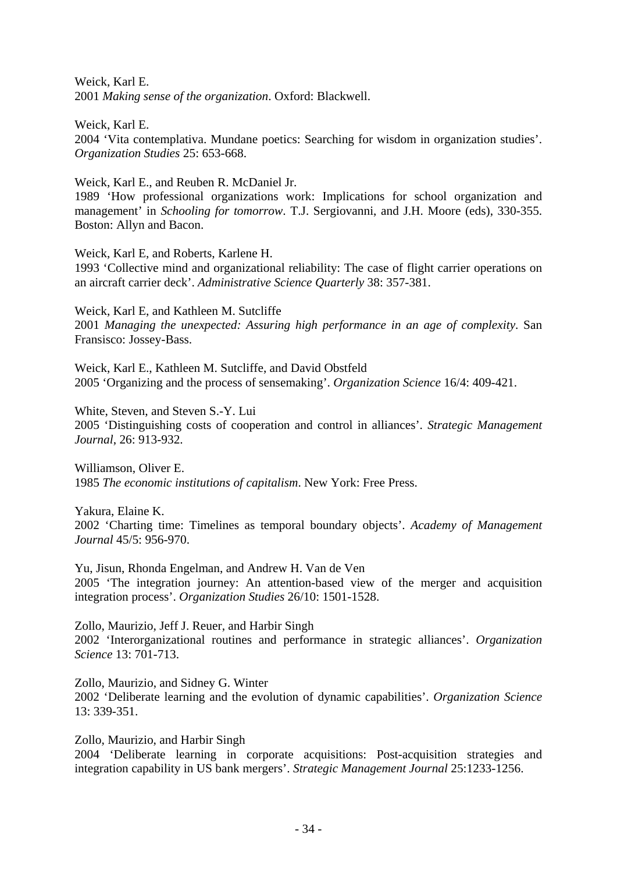Weick, Karl E. 2001 *Making sense of the organization*. Oxford: Blackwell.

Weick, Karl E. 2004 'Vita contemplativa. Mundane poetics: Searching for wisdom in organization studies'. *Organization Studies* 25: 653-668.

Weick, Karl E., and Reuben R. McDaniel Jr.

1989 'How professional organizations work: Implications for school organization and management' in *Schooling for tomorrow*. T.J. Sergiovanni, and J.H. Moore (eds), 330-355. Boston: Allyn and Bacon.

Weick, Karl E, and Roberts, Karlene H. 1993 'Collective mind and organizational reliability: The case of flight carrier operations on an aircraft carrier deck'. *Administrative Science Quarterly* 38: 357-381.

Weick, Karl E, and Kathleen M. Sutcliffe 2001 *Managing the unexpected: Assuring high performance in an age of complexity*. San Fransisco: Jossey-Bass.

Weick, Karl E., Kathleen M. Sutcliffe, and David Obstfeld 2005 'Organizing and the process of sensemaking'. *Organization Science* 16/4: 409-421.

White, Steven, and Steven S.-Y. Lui 2005 'Distinguishing costs of cooperation and control in alliances'. *Strategic Management Journal*, 26: 913-932.

Williamson, Oliver E. 1985 *The economic institutions of capitalism*. New York: Free Press.

Yakura, Elaine K. 2002 'Charting time: Timelines as temporal boundary objects'. *Academy of Management Journal* 45/5: 956-970.

Yu, Jisun, Rhonda Engelman, and Andrew H. Van de Ven 2005 'The integration journey: An attention-based view of the merger and acquisition integration process'. *Organization Studies* 26/10: 1501-1528.

Zollo, Maurizio, Jeff J. Reuer, and Harbir Singh 2002 'Interorganizational routines and performance in strategic alliances'. *Organization Science* 13: 701-713.

Zollo, Maurizio, and Sidney G. Winter 2002 'Deliberate learning and the evolution of dynamic capabilities'. *Organization Science* 13: 339-351.

Zollo, Maurizio, and Harbir Singh 2004 'Deliberate learning in corporate acquisitions: Post-acquisition strategies and integration capability in US bank mergers'. *Strategic Management Journal* 25:1233-1256.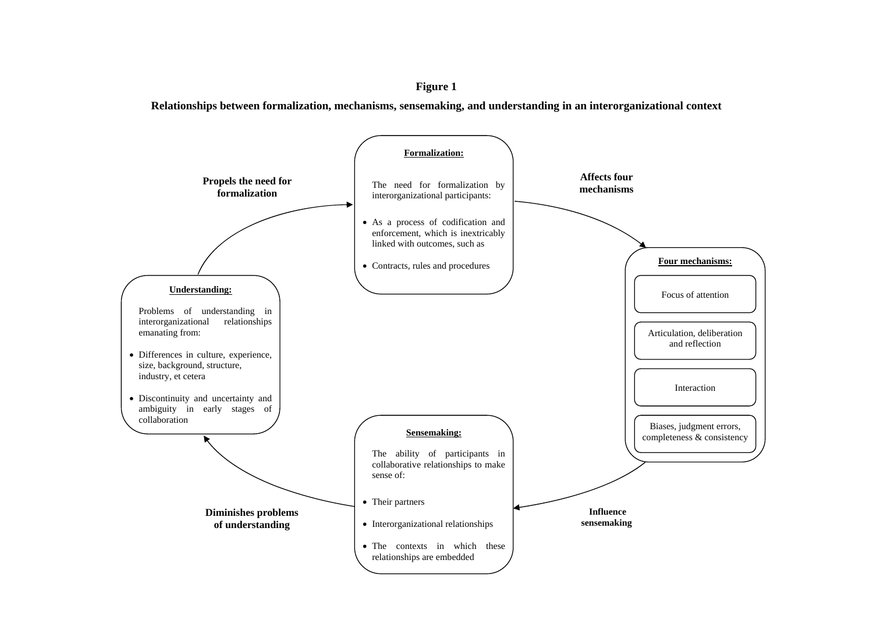#### **Figure 1**

**Relationships between formalization, mechanisms, sensemaking, and understanding in an interorganizational context**